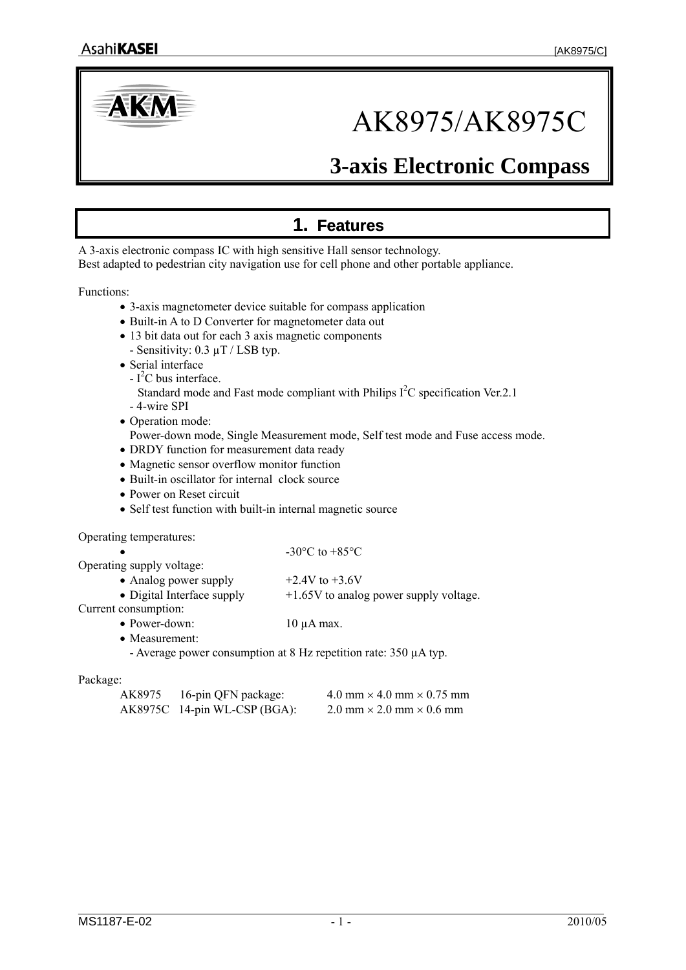<span id="page-0-0"></span>

# AK8975/AK8975C

## **3-axis Electronic Compass**

## **1. Features**

A 3-axis electronic compass IC with high sensitive Hall sensor technology. Best adapted to pedestrian city navigation use for cell phone and other portable appliance.

Functions:

- 3-axis magnetometer device suitable for compass application
- Built-in A to D Converter for magnetometer data out
- 13 bit data out for each 3 axis magnetic components
	- Sensitivity: 0.3 µT / LSB typ.
- Serial interface
- $-I<sup>2</sup>C$  bus interface. Standard mode and Fast mode compliant with Philips  $I<sup>2</sup>C$  specification Ver.2.1
- 4-wire SPI
- Operation mode: Power-down mode, Single Measurement mode, Self test mode and Fuse access mode.
- DRDY function for measurement data ready
- Magnetic sensor overflow monitor function
- Built-in oscillator for internal clock source
- Power on Reset circuit
- Self test function with built-in internal magnetic source

Operating temperatures:

|                            | $-30^{\circ}$ C to $+85^{\circ}$ C       |
|----------------------------|------------------------------------------|
| Operating supply voltage:  |                                          |
| • Analog power supply      | $+2.4V$ to $+3.6V$                       |
| • Digital Interface supply | $+1.65V$ to analog power supply voltage. |
| Current consumption:       |                                          |
| $\bullet$ Power-down:      | $10 \mu A$ max.                          |

• Measurement:

- Average power consumption at 8 Hz repetition rate: 350 µA typ.

#### Package:

| AK8975 | 16-pin QFN package:          | $4.0 \text{ mm} \times 4.0 \text{ mm} \times 0.75 \text{ mm}$ |
|--------|------------------------------|---------------------------------------------------------------|
|        | AK8975C 14-pin WL-CSP (BGA): | $2.0$ mm $\times$ 2.0 mm $\times$ 0.6 mm                      |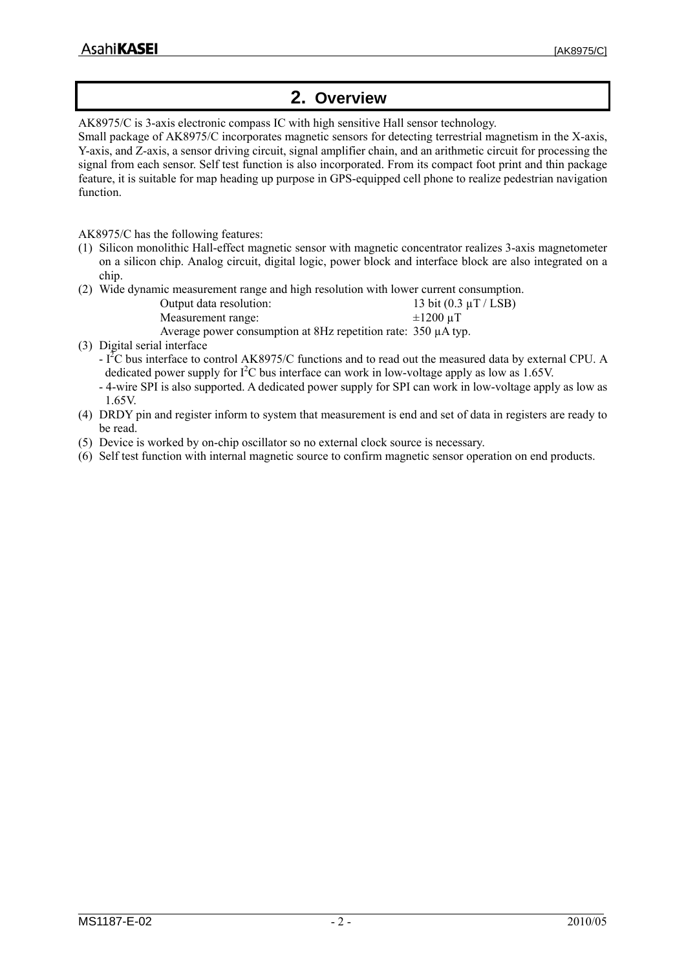## **2. Overview**

<span id="page-1-0"></span>AK8975/C is 3-axis electronic compass IC with high sensitive Hall sensor technology.

Small package of AK8975/C incorporates magnetic sensors for detecting terrestrial magnetism in the X-axis, Y-axis, and Z-axis, a sensor driving circuit, signal amplifier chain, and an arithmetic circuit for processing the signal from each sensor. Self test function is also incorporated. From its compact foot print and thin package feature, it is suitable for map heading up purpose in GPS-equipped cell phone to realize pedestrian navigation function.

AK8975/C has the following features:

- (1) Silicon monolithic Hall-effect magnetic sensor with magnetic concentrator realizes 3-axis magnetometer on a silicon chip. Analog circuit, digital logic, power block and interface block are also integrated on a chip.
- (2) Wide dynamic measurement range and high resolution with lower current consumption.

| Output data resolution:                                       | 13 bit $(0.3 \mu T / LSB)$ |
|---------------------------------------------------------------|----------------------------|
| Measurement range:                                            | $\pm 1200$ uT              |
| Average power consumption at 8Hz repetition rate: 350 µA typ. |                            |

- (3) Digital serial interface
	- I<sup>2</sup>C bus interface to control AK8975/C functions and to read out the measured data by external CPU. A dedicated power supply for  $I^2C$  bus interface can work in low-voltage apply as low as 1.65V.
	- 4-wire SPI is also supported. A dedicated power supply for SPI can work in low-voltage apply as low as 1.65V.
- (4) DRDY pin and register inform to system that measurement is end and set of data in registers are ready to be read.
- (5) Device is worked by on-chip oscillator so no external clock source is necessary.
- (6) Self test function with internal magnetic source to confirm magnetic sensor operation on end products.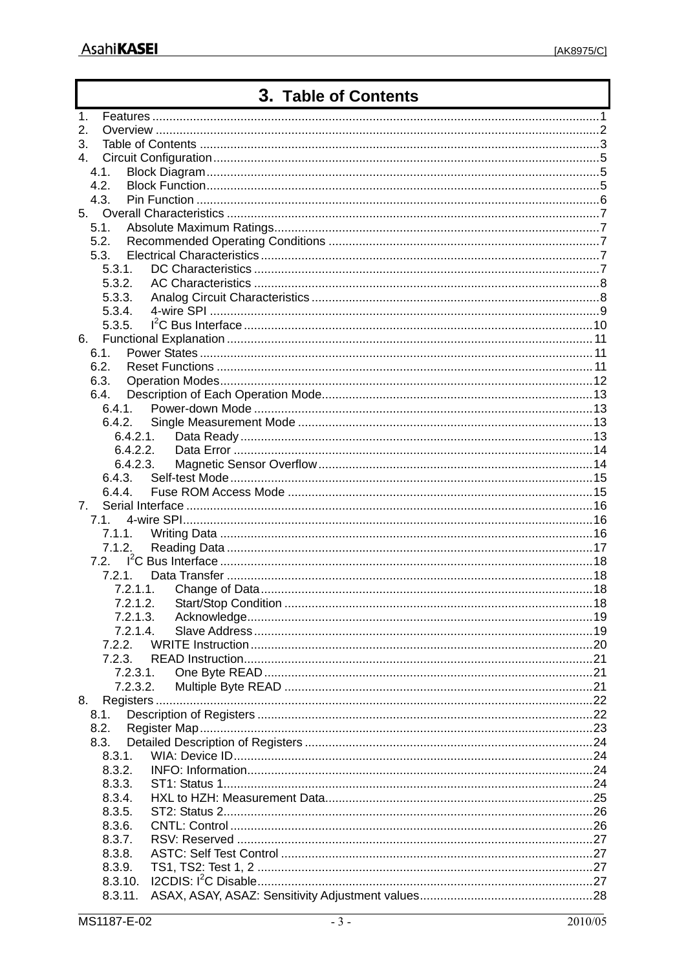## 3. Table of Contents

<span id="page-2-0"></span>

| 1.             |         |          |  |
|----------------|---------|----------|--|
| 2.             |         |          |  |
| 3.             |         |          |  |
| 4.             |         |          |  |
|                | 4.1.    |          |  |
|                | 4.2.    |          |  |
|                | 4.3.    |          |  |
|                |         |          |  |
|                | 5.1.    |          |  |
|                | 5.2.    |          |  |
|                | 5.3.    |          |  |
|                | 5.3.1.  |          |  |
|                | 5.3.2.  |          |  |
|                | 5.3.3.  |          |  |
|                | 5.3.4.  |          |  |
|                | 5.3.5.  |          |  |
| 6.             |         |          |  |
|                | 6.1.    |          |  |
|                | 6.2.    |          |  |
|                | 6.3.    |          |  |
|                | 6.4.    |          |  |
|                | 6.4.1.  |          |  |
|                |         | 6.4.2.   |  |
|                |         | 6.4.2.1. |  |
|                |         | 6.4.2.2. |  |
|                |         | 6.4.2.3. |  |
|                |         | 6.4.3.   |  |
|                | 6.4.4.  |          |  |
| 7 <sub>1</sub> |         |          |  |
|                | 7.1.    |          |  |
|                |         |          |  |
|                | 7.1.2.  |          |  |
|                | 7.2.    |          |  |
|                | 7.2.1.  |          |  |
|                |         | 7.2.1.1. |  |
|                |         | 7.2.1.2. |  |
|                |         | 7.2.1.3. |  |
|                |         | 7.2.1.4. |  |
|                | 7.2.2.  |          |  |
|                | 7.2.3.  |          |  |
|                |         | 7.2.3.1. |  |
|                |         | 7.2.3.2. |  |
| 8.             |         |          |  |
|                | 8.1.    |          |  |
|                | 8.2.    |          |  |
|                | 8.3.    |          |  |
|                | 8.3.1.  |          |  |
|                | 8.3.2.  |          |  |
|                | 8.3.3.  |          |  |
|                | 8.3.4.  |          |  |
|                | 8.3.5.  |          |  |
|                | 8.3.6.  |          |  |
|                | 8.3.7.  |          |  |
|                | 8.3.8.  |          |  |
|                | 8.3.9.  |          |  |
|                | 8.3.10. |          |  |
|                | 8.3.11. |          |  |
|                |         |          |  |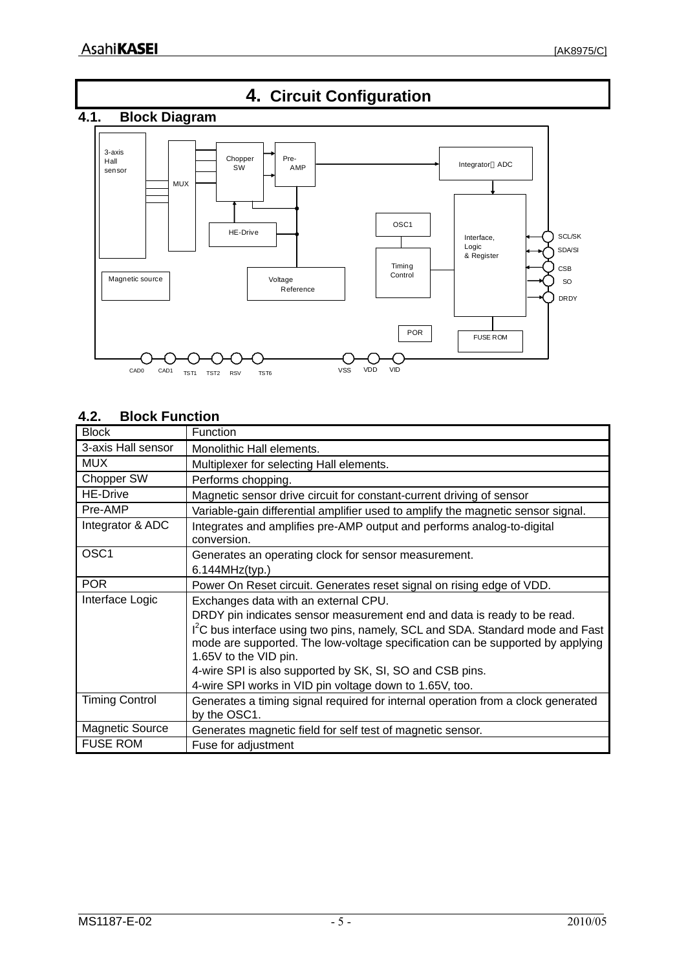<span id="page-4-0"></span>

## **4.2. Block Function**

| <b>Block</b>           | Function                                                                                                                                                                                 |
|------------------------|------------------------------------------------------------------------------------------------------------------------------------------------------------------------------------------|
| 3-axis Hall sensor     | Monolithic Hall elements.                                                                                                                                                                |
| <b>MUX</b>             | Multiplexer for selecting Hall elements.                                                                                                                                                 |
| Chopper SW             | Performs chopping.                                                                                                                                                                       |
| <b>HE-Drive</b>        | Magnetic sensor drive circuit for constant-current driving of sensor                                                                                                                     |
| Pre-AMP                | Variable-gain differential amplifier used to amplify the magnetic sensor signal.                                                                                                         |
| Integrator & ADC       | Integrates and amplifies pre-AMP output and performs analog-to-digital<br>conversion.                                                                                                    |
| OSC <sub>1</sub>       | Generates an operating clock for sensor measurement.<br>6.144MHz(typ.)                                                                                                                   |
| <b>POR</b>             | Power On Reset circuit. Generates reset signal on rising edge of VDD.                                                                                                                    |
| Interface Logic        | Exchanges data with an external CPU.                                                                                                                                                     |
|                        | DRDY pin indicates sensor measurement end and data is ready to be read.                                                                                                                  |
|                        | I'C bus interface using two pins, namely, SCL and SDA. Standard mode and Fast<br>mode are supported. The low-voltage specification can be supported by applying<br>1.65V to the VID pin. |
|                        | 4-wire SPI is also supported by SK, SI, SO and CSB pins.                                                                                                                                 |
|                        | 4-wire SPI works in VID pin voltage down to 1.65V, too.                                                                                                                                  |
| <b>Timing Control</b>  | Generates a timing signal required for internal operation from a clock generated<br>by the OSC1.                                                                                         |
| <b>Magnetic Source</b> | Generates magnetic field for self test of magnetic sensor.                                                                                                                               |
| <b>FUSE ROM</b>        | Fuse for adjustment                                                                                                                                                                      |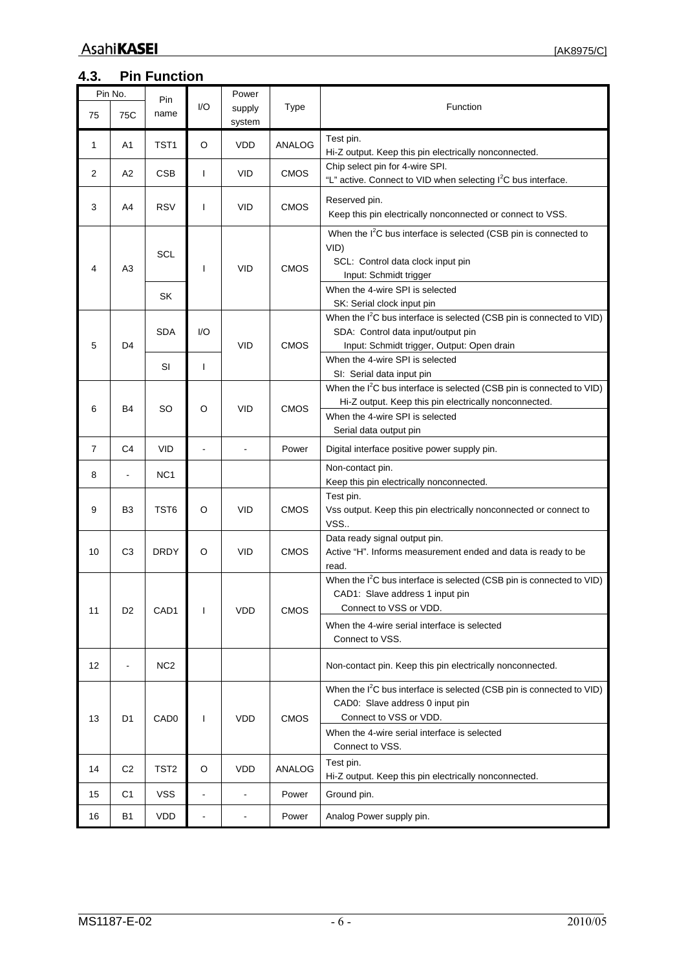<span id="page-5-0"></span>

|                | Pin No.        | Pin              |               | Power                    |               |                                                                                                                                                                                                         |  |  |
|----------------|----------------|------------------|---------------|--------------------------|---------------|---------------------------------------------------------------------------------------------------------------------------------------------------------------------------------------------------------|--|--|
| 75             | 75C            | name             | 1/O           | supply<br>system         | <b>Type</b>   | Function                                                                                                                                                                                                |  |  |
| 1              | A1             | TST <sub>1</sub> | O             | <b>VDD</b>               | <b>ANALOG</b> | Test pin.<br>Hi-Z output. Keep this pin electrically nonconnected.                                                                                                                                      |  |  |
| 2              | A2             | <b>CSB</b>       | T             | <b>VID</b>               | <b>CMOS</b>   | Chip select pin for 4-wire SPI.<br>"L" active. Connect to VID when selecting I <sup>2</sup> C bus interface.                                                                                            |  |  |
| 3              | A4             | <b>RSV</b>       | L             | <b>VID</b>               | <b>CMOS</b>   | Reserved pin.<br>Keep this pin electrically nonconnected or connect to VSS.                                                                                                                             |  |  |
| 4              | A3             | <b>SCL</b>       | I             | <b>VID</b>               | <b>CMOS</b>   | When the I <sup>2</sup> C bus interface is selected (CSB pin is connected to<br>VID)<br>SCL: Control data clock input pin<br>Input: Schmidt trigger                                                     |  |  |
|                |                | SK               |               |                          |               | When the 4-wire SPI is selected<br>SK: Serial clock input pin                                                                                                                                           |  |  |
| 5              | D4             | <b>SDA</b>       | 1/O           | <b>VID</b>               | <b>CMOS</b>   | When the I <sup>2</sup> C bus interface is selected (CSB pin is connected to VID)<br>SDA: Control data input/output pin<br>Input: Schmidt trigger, Output: Open drain                                   |  |  |
|                |                | SI               | T             |                          |               | When the 4-wire SPI is selected<br>SI: Serial data input pin                                                                                                                                            |  |  |
| 6              | B <sub>4</sub> | SO               | O             | <b>VID</b>               | <b>CMOS</b>   | When the I <sup>2</sup> C bus interface is selected (CSB pin is connected to VID)<br>Hi-Z output. Keep this pin electrically nonconnected.<br>When the 4-wire SPI is selected<br>Serial data output pin |  |  |
| $\overline{7}$ | C <sub>4</sub> | <b>VID</b>       |               | ä,                       | Power         | Digital interface positive power supply pin.                                                                                                                                                            |  |  |
| 8              |                | NC <sub>1</sub>  |               |                          |               | Non-contact pin.<br>Keep this pin electrically nonconnected.                                                                                                                                            |  |  |
| 9              | B <sub>3</sub> | TST <sub>6</sub> | O             | <b>VID</b>               | <b>CMOS</b>   | Test pin.<br>Vss output. Keep this pin electrically nonconnected or connect to<br>VSS                                                                                                                   |  |  |
| 10             | C3             | <b>DRDY</b>      | O             | <b>VID</b>               | <b>CMOS</b>   | Data ready signal output pin.<br>Active "H". Informs measurement ended and data is ready to be<br>read.                                                                                                 |  |  |
| 11             | D <sub>2</sub> | CAD1             | T             | <b>VDD</b>               | <b>CMOS</b>   | When the I <sup>2</sup> C bus interface is selected (CSB pin is connected to VID)<br>CAD1: Slave address 1 input pin<br>Connect to VSS or VDD.                                                          |  |  |
|                |                |                  |               |                          |               | When the 4-wire serial interface is selected<br>Connect to VSS.                                                                                                                                         |  |  |
| 12             |                | NC <sub>2</sub>  |               |                          |               | Non-contact pin. Keep this pin electrically nonconnected.                                                                                                                                               |  |  |
| 13             | D <sub>1</sub> | CAD <sub>0</sub> | L             | <b>VDD</b>               | <b>CMOS</b>   | When the I <sup>2</sup> C bus interface is selected (CSB pin is connected to VID)<br>CAD0: Slave address 0 input pin<br>Connect to VSS or VDD.                                                          |  |  |
|                |                |                  |               |                          |               | When the 4-wire serial interface is selected<br>Connect to VSS.                                                                                                                                         |  |  |
| 14             | C <sub>2</sub> | TST <sub>2</sub> | O             | <b>VDD</b>               | ANALOG        | Test pin.<br>Hi-Z output. Keep this pin electrically nonconnected.                                                                                                                                      |  |  |
| 15             | C1             | <b>VSS</b>       | ۰             | $\overline{a}$           | Power         | Ground pin.                                                                                                                                                                                             |  |  |
| 16             | B1             | VDD              | $\frac{1}{2}$ | $\overline{\phantom{a}}$ | Power         | Analog Power supply pin.                                                                                                                                                                                |  |  |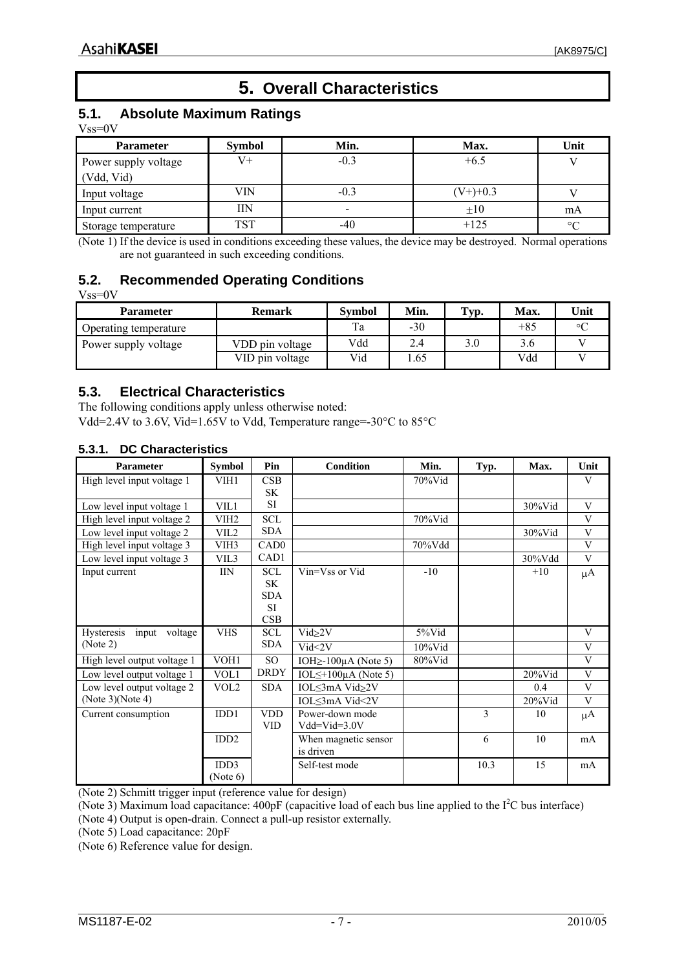## **5. Overall Characteristics**

## <span id="page-6-0"></span>**5.1. Absolute Maximum Ratings**

Vss=0V

| <b>Parameter</b>                   | <b>Symbol</b> | Min.   | Max.        | Unit    |
|------------------------------------|---------------|--------|-------------|---------|
| Power supply voltage<br>(Vdd, Vid) | V+            | $-0.3$ | $+6.5$      |         |
| Input voltage                      | VIN           | $-0.3$ | $(V+)$ +0.3 |         |
| Input current                      | IIN           |        | $\pm 10$    | mA      |
| Storage temperature                | <b>TST</b>    | -40    | $+125$      | $\circ$ |

(Note 1) If the device is used in conditions exceeding these values, the device may be destroyed. Normal operations are not guaranteed in such exceeding conditions.

## **5.2. Recommended Operating Conditions**

|--|--|

| <b>Parameter</b>      | <b>Remark</b>   | <b>Symbol</b> | Min.  | <b>Тур.</b> | Max. | Unit    |
|-----------------------|-----------------|---------------|-------|-------------|------|---------|
| Operating temperature |                 | Ta            | $-30$ |             | +85  | $\circ$ |
| Power supply voltage  | VDD pin voltage | Vdd           | 2.4   |             | 3.6  |         |
|                       | VID pin voltage | Vid           | .65   |             | Vdd  |         |

## **5.3. Electrical Characteristics**

The following conditions apply unless otherwise noted: Vdd=2.4V to 3.6V, Vid=1.65V to Vdd, Temperature range=-30°C to 85°C

#### **5.3.1. DC Characteristics**

| <b>Parameter</b>               | <b>Symbol</b>    | Pin              | <b>Condition</b>                 | Min.       | Typ. | Max.       | Unit    |
|--------------------------------|------------------|------------------|----------------------------------|------------|------|------------|---------|
| High level input voltage 1     | VIH1             | CSB              |                                  | $70\%$ Vid |      |            | V       |
|                                |                  | SK.              |                                  |            |      |            |         |
| Low level input voltage 1      | VIL1             | <b>SI</b>        |                                  |            |      | $30\%$ Vid | V       |
| High level input voltage 2     | VIH <sub>2</sub> | <b>SCL</b>       |                                  | $70\%$ Vid |      |            | V       |
| Low level input voltage 2      | VIL <sub>2</sub> | <b>SDA</b>       |                                  |            |      | $30\%$ Vid | V       |
| High level input voltage 3     | VIH3             | CAD <sub>0</sub> |                                  | $70\%$ Vdd |      |            | V       |
| Low level input voltage 3      | VIL3             | CAD1             |                                  |            |      | 30%Vdd     | V       |
| Input current                  | <b>IIN</b>       | <b>SCL</b>       | Vin=Vss or Vid                   | $-10$      |      | $+10$      | $\mu$ A |
|                                |                  | <b>SK</b>        |                                  |            |      |            |         |
|                                |                  | <b>SDA</b>       |                                  |            |      |            |         |
|                                |                  | <b>SI</b>        |                                  |            |      |            |         |
|                                |                  | CSB              |                                  |            |      |            |         |
| Hysteresis<br>input<br>voltage | <b>VHS</b>       | <b>SCL</b>       | $Vi d_2 2V$                      | 5%Vid      |      |            | V       |
| (Note 2)                       |                  | <b>SDA</b>       | Vid < 2V                         | $10\%$ Vid |      |            | V       |
| High level output voltage 1    | VOH1             | SO.              | IOH $\ge$ -100µA (Note 5)        | $80\%$ Vid |      |            | V       |
| Low level output voltage 1     | VOL1             | <b>DRDY</b>      | IOL $\leq$ +100 $\mu$ A (Note 5) |            |      | $20\%$ Vid | V       |
| Low level output voltage 2     | VOL <sub>2</sub> | <b>SDA</b>       | IOL≤3mA Vid>2V                   |            |      | 0.4        | V       |
| (Note 3)(Note 4)               |                  |                  | IOL≤3mA Vid<2V                   |            |      | $20\%$ Vid | V       |
| Current consumption            | IDD <sub>1</sub> | <b>VDD</b>       | Power-down mode                  |            | 3    | 10         | $\mu$ A |
|                                |                  | <b>VID</b>       | $Vdd = Vid = 3.0V$               |            |      |            |         |
|                                | IDD2             |                  | When magnetic sensor             |            | 6    | 10         | mA      |
|                                |                  |                  | is driven                        |            |      |            |         |
|                                | IDD3             |                  | Self-test mode                   |            | 10.3 | 15         | mA      |
|                                | (Note 6)         |                  |                                  |            |      |            |         |

<span id="page-6-1"></span>(Note 2) Schmitt trigger input (reference value for design)

(Note 3) Maximum load capacitance:  $400pF$  (capacitive load of each bus line applied to the  $I<sup>2</sup>C$  bus interface)

<span id="page-6-4"></span><span id="page-6-3"></span>(Note 4) Output is open-drain. Connect a pull-up resistor externally.

<span id="page-6-2"></span>(Note 5) Load capacitance: 20pF

<span id="page-6-5"></span>(Note 6) Reference value for design.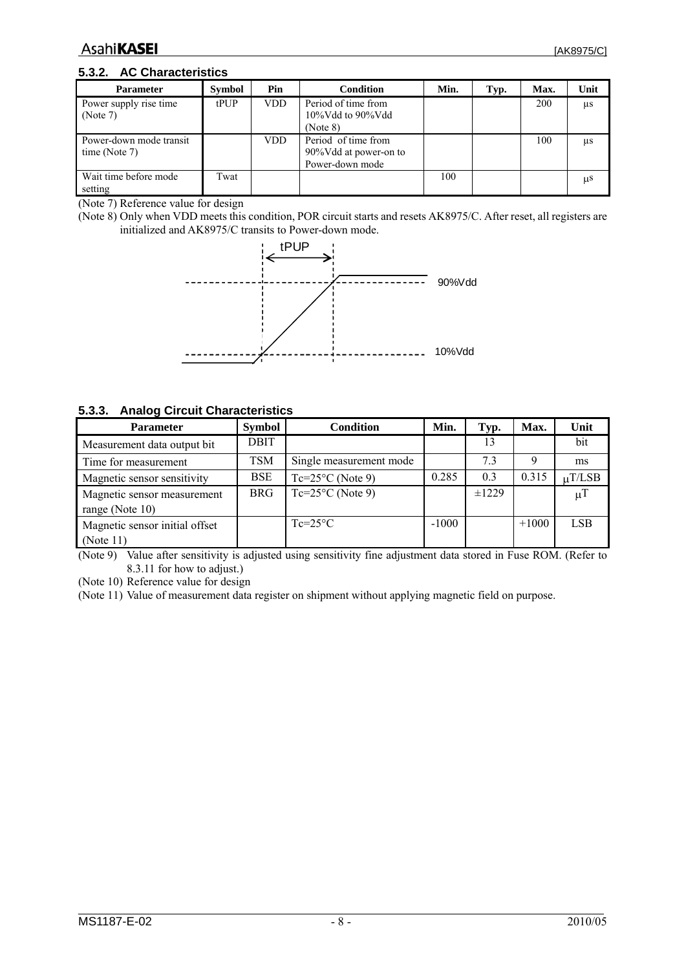#### <span id="page-7-0"></span>**5.3.2. AC Characteristics**

| <b>Parameter</b>                         | <b>Symbol</b> | Pin        | <b>Condition</b>                                                | Min. | Typ. | Max. | Unit    |
|------------------------------------------|---------------|------------|-----------------------------------------------------------------|------|------|------|---------|
| Power supply rise time<br>(Note 7)       | $t$ PUP       | <b>VDD</b> | Period of time from<br>$10\%$ Vdd to 90%Vdd<br>(Note 8)         |      |      | 200  | μs      |
| Power-down mode transit<br>time (Note 7) |               | VDD        | Period of time from<br>90%Vdd at power-on to<br>Power-down mode |      |      | 100  | μs      |
| Wait time before mode<br>setting         | Twat          |            |                                                                 | 100  |      |      | $\mu$ S |

<span id="page-7-1"></span>(Note 7) Reference value for design

(Note 8) Only when VDD meets this condition, POR circuit starts and resets AK8975/C. After reset, all registers are initialized and AK8975/C transits to Power-down mode.



#### **5.3.3. Analog Circuit Characteristics**

| <b>Parameter</b>               | <b>Symbol</b> | <b>Condition</b>          | Min.    | Typ.       | Max.    | Unit               |
|--------------------------------|---------------|---------------------------|---------|------------|---------|--------------------|
| Measurement data output bit    | <b>DBIT</b>   |                           |         | 13         |         | bit                |
| Time for measurement           | TSM           | Single measurement mode   |         | 7.3        |         | ms                 |
| Magnetic sensor sensitivity    | <b>BSE</b>    | $Tc=25^{\circ}C$ (Note 9) | 0.285   | 0.3        | 0.315   | $\mu$ T/LSB        |
| Magnetic sensor measurement    | <b>BRG</b>    | $Tc=25^{\circ}C$ (Note 9) |         | $\pm 1229$ |         | $\mu$ <sup>T</sup> |
| range (Note 10)                |               |                           |         |            |         |                    |
| Magnetic sensor initial offset |               | $Te=25\degree C$          | $-1000$ |            | $+1000$ | <b>LSB</b>         |
| (Note 11)                      |               |                           |         |            |         |                    |

<span id="page-7-2"></span>(Note 9) Value after sensitivity is adjusted using sensitivity fine adjustment data stored in Fuse ROM. (Refer to [8.3.11](#page-27-1) for how to adjust.)

<span id="page-7-3"></span>(Note 10) Reference value for design

<span id="page-7-4"></span>(Note 11) Value of measurement data register on shipment without applying magnetic field on purpose.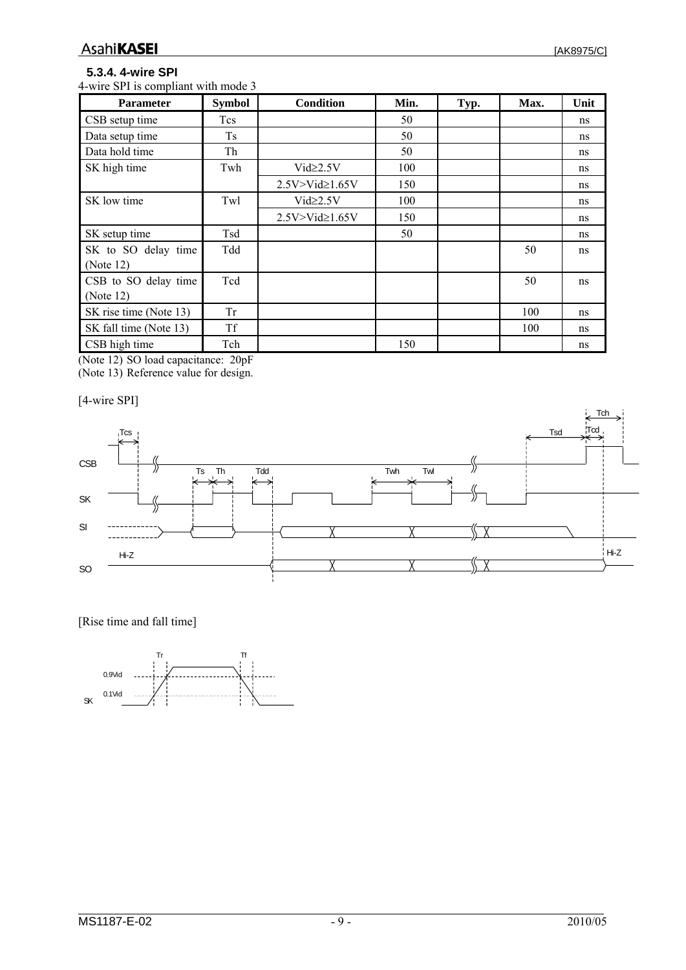## <span id="page-8-0"></span>**5.3.4. 4-wire SPI**

4-wire SPI is compliant with mode 3

| <b>Parameter</b>       | <b>Symbol</b> | <b>Condition</b>       | Min. | Typ. | Max. | Unit |
|------------------------|---------------|------------------------|------|------|------|------|
| CSB setup time         | Tcs           |                        | 50   |      |      | ns   |
| Data setup time        | <b>Ts</b>     |                        | 50   |      |      | ns   |
| Data hold time         | Th            |                        | 50   |      |      | ns   |
| SK high time           | Twh           | $Vi d \geq 2.5V$       | 100  |      |      | ns   |
|                        |               | $2.5V > Vid \ge 1.65V$ | 150  |      |      | ns   |
| SK low time            | Twl           | $Vi d \geq 2.5V$       | 100  |      |      | ns   |
|                        |               | $2.5V > Vid \ge 1.65V$ | 150  |      |      | ns   |
| SK setup time          | Tsd           |                        | 50   |      |      | ns   |
| SK to SO delay time    | Tdd           |                        |      |      | 50   | ns   |
| (Note 12)              |               |                        |      |      |      |      |
| CSB to SO delay time   | Tcd           |                        |      |      | 50   | ns   |
| (Note 12)              |               |                        |      |      |      |      |
| SK rise time (Note 13) | <b>Tr</b>     |                        |      |      | 100  | ns   |
| SK fall time (Note 13) | <b>Tf</b>     |                        |      |      | 100  | ns   |
| CSB high time          | Tch           |                        | 150  |      |      | ns   |

<span id="page-8-2"></span><span id="page-8-1"></span>(Note 12) SO load capacitance: 20pF (Note 13) Reference value for design.

[4-wire SPI]



[Rise time and fall time]

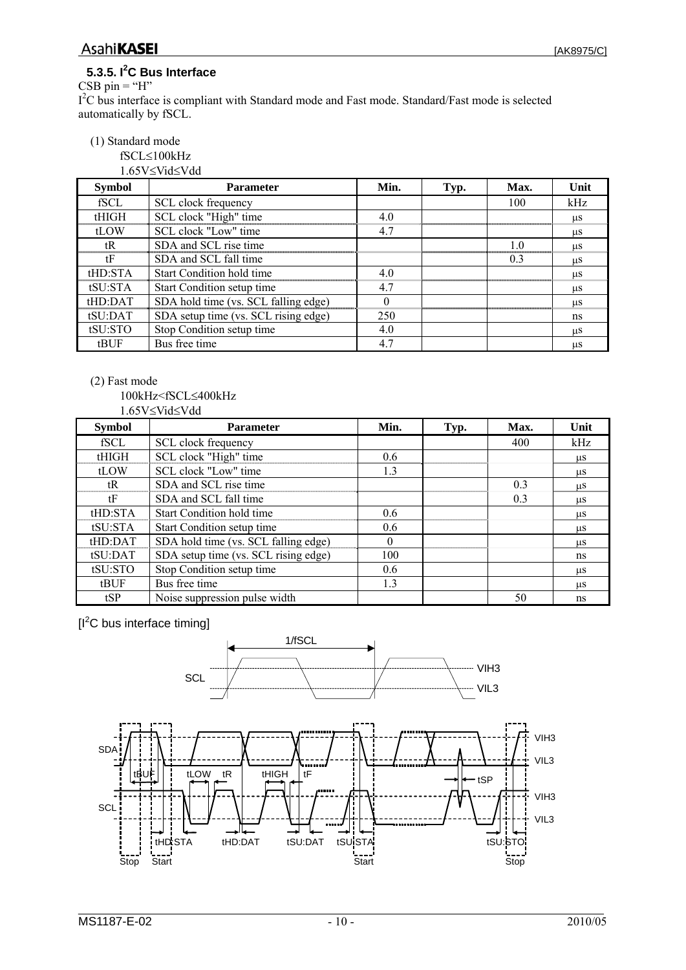### <span id="page-9-0"></span>**5.3.5. I<sup>2</sup> C Bus Interface**

CSB pin  $=$  "H" I<sup>2</sup>C bus interface is compliant with Standard mode and Fast mode. Standard/Fast mode is selected automatically by fSCL.

#### (1) Standard mode

fSCL≤100kHz 1.65V≤Vid≤Vdd

| <b>Symbol</b> | <b>Parameter</b>                     | Min. | Typ. | Max. | Unit    |
|---------------|--------------------------------------|------|------|------|---------|
| fSCL          | SCL clock frequency                  |      |      | 100  | kHz     |
| tHIGH         | SCL clock "High" time                | 4.0  |      |      | μS      |
| tLOW          | SCL clock "Low" time                 | 4.7  |      |      | μS      |
| tR            | SDA and SCL rise time                |      |      | 10   | μS      |
| tF            | SDA and SCL fall time                |      |      | 0.3  | $\mu$ S |
| tHD:STA       | Start Condition hold time            | 4.0  |      |      | μS      |
| tSU:STA       | Start Condition setup time           | 4.7  |      |      | μS      |
| tHD:DATA      | SDA hold time (vs. SCL falling edge) | 0    |      |      | $\mu$ S |
| tSU:DAT       | SDA setup time (vs. SCL rising edge) | 250  |      |      | ns      |
| tSU:STO       | Stop Condition setup time            | 4.0  |      |      | μS      |
| tBUF          | Bus free time                        | 4.7  |      |      | μS      |

#### (2) Fast mode

 <sup>100</sup>kHz<fSCL≤400kHz 1.65V≤Vid≤Vdd

| <b>Symbol</b> | <b>Parameter</b>                     | Min. | Typ. | Max. | Unit    |
|---------------|--------------------------------------|------|------|------|---------|
| fSCL          | SCL clock frequency                  |      |      | 400  | kHz     |
| tHIGH         | SCL clock "High" time                | 0.6  |      |      | $\mu$ S |
| tLOW          | SCL clock "Low" time                 | 1.3  |      |      | $\mu$ S |
| tR            | SDA and SCL rise time                |      |      | 0.3  | μS      |
| tF            | SDA and SCL fall time                |      |      | 0.3  | μS      |
| tHD:STA       | Start Condition hold time            | 0.6  |      |      | $\mu$ S |
| tSU:STA       | Start Condition setup time           | 0.6  |      |      | $\mu$ S |
| tHD:DATA      | SDA hold time (vs. SCL falling edge) | 0    |      |      | us      |
| tSU:DAT       | SDA setup time (vs. SCL rising edge) | 100  |      |      | ns      |
| tSU:STO       | Stop Condition setup time            | 0.6  |      |      | μS      |
| tBUF          | Bus free time                        | 1.3  |      |      | us      |
| tSP           | Noise suppression pulse width        |      |      | 50   | ns      |

 $[I<sup>2</sup>C$  bus interface timing]

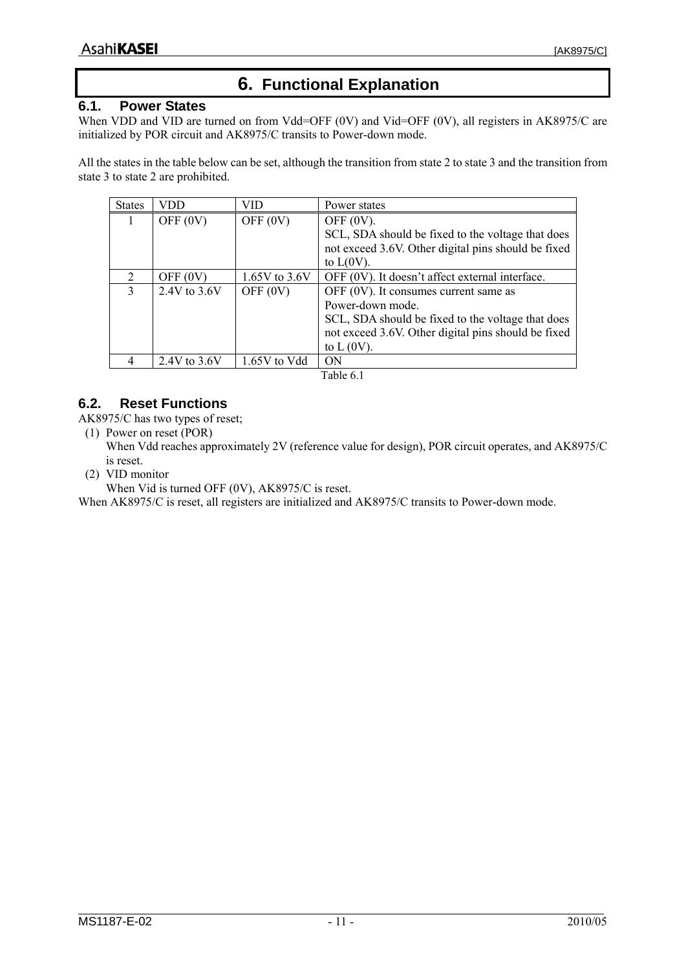## **6. Functional Explanation**

#### <span id="page-10-0"></span>**6.1. Power States**

When VDD and VID are turned on from Vdd=OFF (0V) and Vid=OFF (0V), all registers in AK8975/C are initialized by POR circuit and AK8975/C transits to Power-down mode.

All the states in the table below can be set, although the transition from state 2 to state 3 and the transition from state 3 to state 2 are prohibited.

| <b>States</b> | VDD            | VID             | Power states                                        |
|---------------|----------------|-----------------|-----------------------------------------------------|
|               | OFF $(0V)$     | OFF $(0V)$      | OFF $(0V)$ .                                        |
|               |                |                 | SCL, SDA should be fixed to the voltage that does   |
|               |                |                 | not exceed 3.6V. Other digital pins should be fixed |
|               |                |                 | to $L(0V)$ .                                        |
| 2             | OFF $(0V)$     | 1.65V to $3.6V$ | OFF (0V). It doesn't affect external interface.     |
| 3             | 2.4V to 3.6V   | OFF $(0V)$      | OFF $(0V)$ . It consumes current same as            |
|               |                |                 | Power-down mode.                                    |
|               |                |                 | SCL, SDA should be fixed to the voltage that does   |
|               |                |                 | not exceed 3.6V. Other digital pins should be fixed |
|               |                |                 | to $L(0V)$ .                                        |
|               | 2.4V to $3.6V$ | 1.65V to Vdd    | ON                                                  |

Table 6.1

## **6.2. Reset Functions**

AK8975/C has two types of reset;

(1) Power on reset (POR)

When Vdd reaches approximately 2V (reference value for design), POR circuit operates, and AK8975/C is reset.

(2) VID monitor

When Vid is turned OFF (0V), AK8975/C is reset.

When AK8975/C is reset, all registers are initialized and AK8975/C transits to Power-down mode.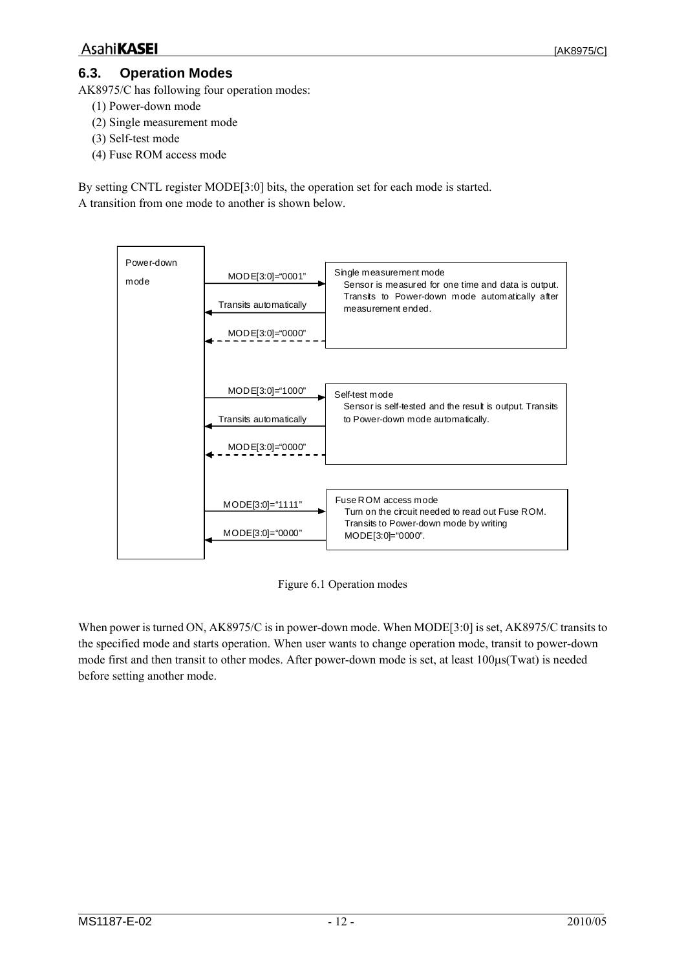## <span id="page-11-1"></span><span id="page-11-0"></span>**6.3. Operation Modes**

AK8975/C has following four operation modes:

- (1) Power-down mode
- (2) Single measurement mode
- (3) Self-test mode
- (4) Fuse ROM access mode

By setting CNTL register MODE[3:0] bits, the operation set for each mode is started. A transition from one mode to another is shown below.



Figure 6.1 Operation modes

When power is turned ON, AK8975/C is in power-down mode. When MODE[3:0] is set, AK8975/C transits to the specified mode and starts operation. When user wants to change operation mode, transit to power-down mode first and then transit to other modes. After power-down mode is set, at least 100μs(Twat) is needed before setting another mode.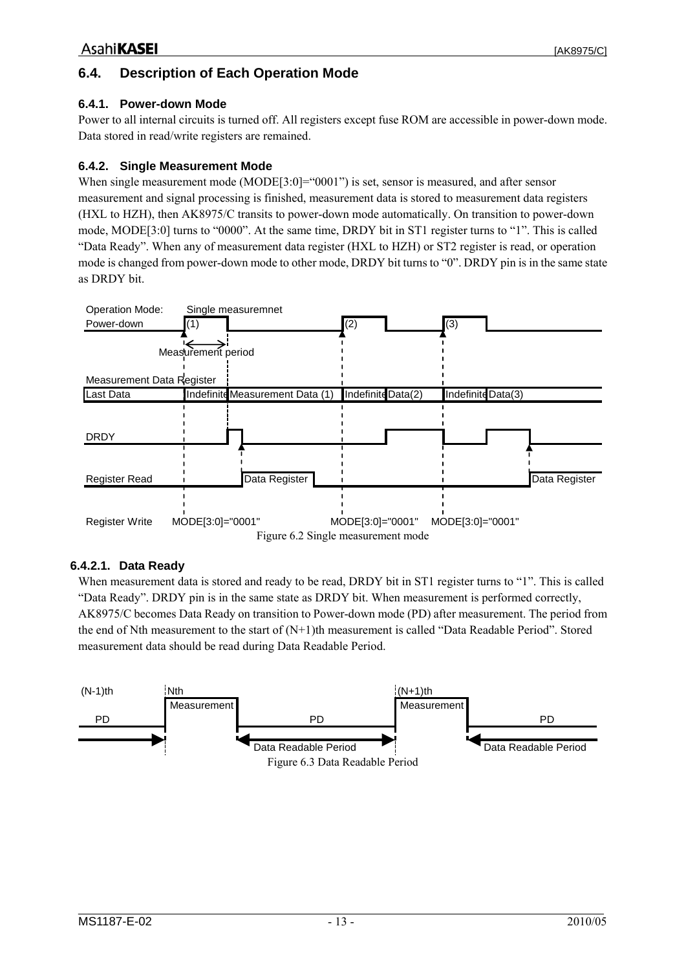## <span id="page-12-0"></span>**6.4. Description of Each Operation Mode**

#### **6.4.1. Power-down Mode**

Power to all internal circuits is turned off. All registers except fuse ROM are accessible in power-down mode. Data stored in read/write registers are remained.

#### **6.4.2. Single Measurement Mode**

When single measurement mode (MODE[3:0]="0001") is set, sensor is measured, and after sensor measurement and signal processing is finished, measurement data is stored to measurement data registers (HXL to HZH), then AK8975/C transits to power-down mode automatically. On transition to power-down mode, MODE[3:0] turns to "0000". At the same time, DRDY bit in ST1 register turns to "1". This is called "Data Ready". When any of measurement data register (HXL to HZH) or ST2 register is read, or operation mode is changed from power-down mode to other mode, DRDY bit turns to "0". DRDY pin is in the same state as DRDY bit.



#### **6.4.2.1. Data Ready**

When measurement data is stored and ready to be read, DRDY bit in ST1 register turns to "1". This is called "Data Ready". DRDY pin is in the same state as DRDY bit. When measurement is performed correctly, AK8975/C becomes Data Ready on transition to Power-down mode (PD) after measurement. The period from the end of Nth measurement to the start of (N+1)th measurement is called "Data Readable Period". Stored measurement data should be read during Data Readable Period.

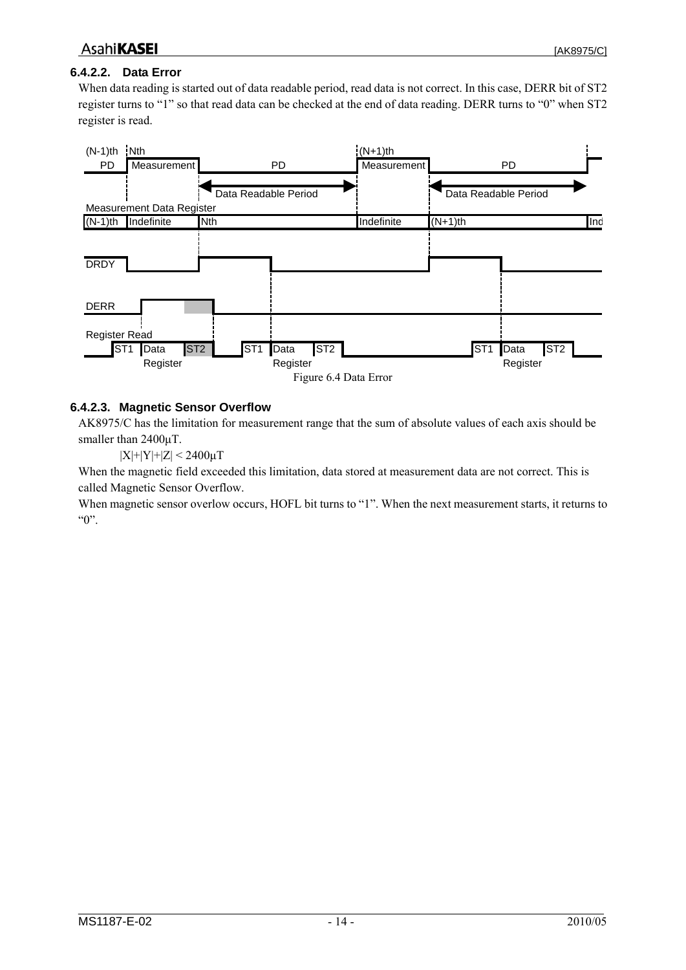## <span id="page-13-0"></span>**AsahiKASEI**

## **6.4.2.2. Data Error**

When data reading is started out of data readable period, read data is not correct. In this case, DERR bit of ST2 register turns to "1" so that read data can be checked at the end of data reading. DERR turns to "0" when ST2 register is read.



### <span id="page-13-1"></span>**6.4.2.3. Magnetic Sensor Overflow**

AK8975/C has the limitation for measurement range that the sum of absolute values of each axis should be smaller than 2400μT.

 $|X|+|Y|+|Z| < 2400 \mu T$ 

When the magnetic field exceeded this limitation, data stored at measurement data are not correct. This is called Magnetic Sensor Overflow.

When magnetic sensor overlow occurs, HOFL bit turns to "1". When the next measurement starts, it returns to " $0$ ".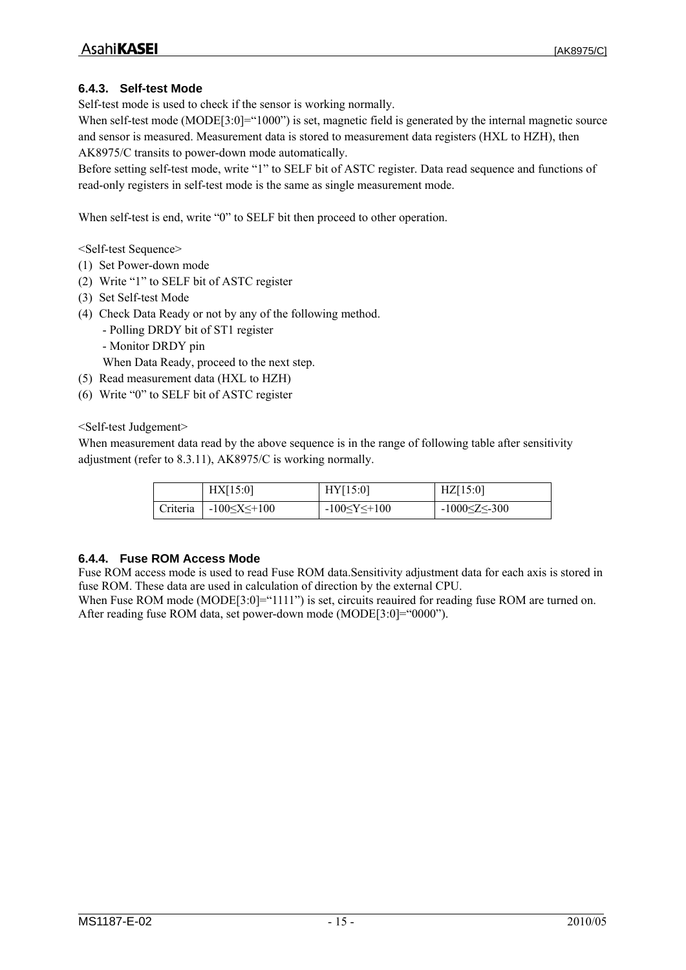### <span id="page-14-0"></span>**6.4.3. Self-test Mode**

Self-test mode is used to check if the sensor is working normally.

When self-test mode (MODE[3:0]="1000") is set, magnetic field is generated by the internal magnetic source and sensor is measured. Measurement data is stored to measurement data registers (HXL to HZH), then AK8975/C transits to power-down mode automatically.

Before setting self-test mode, write "1" to SELF bit of ASTC register. Data read sequence and functions of read-only registers in self-test mode is the same as single measurement mode.

When self-test is end, write "0" to SELF bit then proceed to other operation.

<Self-test Sequence>

- (1) Set Power-down mode
- (2) Write "1" to SELF bit of ASTC register
- (3) Set Self-test Mode
- (4) Check Data Ready or not by any of the following method.
	- Polling DRDY bit of ST1 register
	- Monitor DRDY pin
	- When Data Ready, proceed to the next step.
- (5) Read measurement data (HXL to HZH)
- (6) Write "0" to SELF bit of ASTC register

<Self-test Judgement>

When measurement data read by the above sequence is in the range of following table after sensitivity adjustment (refer to [8.3.11\)](#page-27-1), AK8975/C is working normally.

|          | HX[15:0]              | HY[15:0]              | $\text{HZ}[15:0]$     |
|----------|-----------------------|-----------------------|-----------------------|
| Criteria | $-100 \le X \le +100$ | $-100 \le Y \le +100$ | $-1000 \le Z \le 300$ |

#### **6.4.4. Fuse ROM Access Mode**

Fuse ROM access mode is used to read Fuse ROM data.Sensitivity adjustment data for each axis is stored in fuse ROM. These data are used in calculation of direction by the external CPU.

When Fuse ROM mode (MODE[3:0]="1111") is set, circuits reauired for reading fuse ROM are turned on. After reading fuse ROM data, set power-down mode (MODE[3:0]="0000").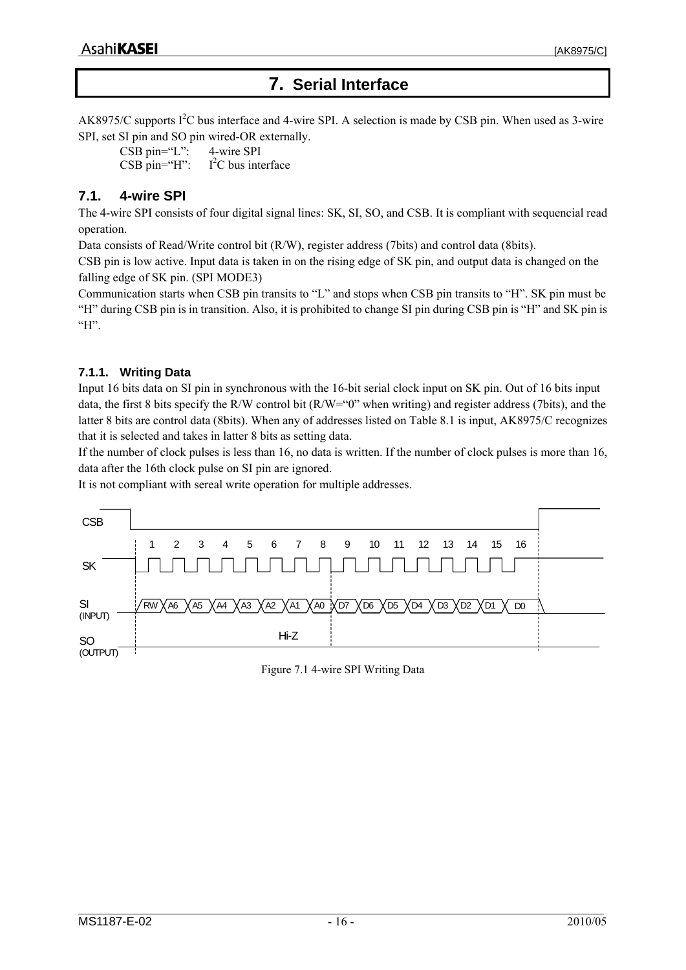## **7. Serial Interface**

<span id="page-15-0"></span>AK8975/C supports  $I^2C$  bus interface and 4-wire SPI. A selection is made by CSB pin. When used as 3-wire SPI, set SI pin and SO pin wired-OR externally.

CSB pin="L": 4-wire SPI CSB pin="H":  $I<sup>2</sup>C$  bus interface

## **7.1. 4-wire SPI**

The 4-wire SPI consists of four digital signal lines: SK, SI, SO, and CSB. It is compliant with sequencial read operation.

Data consists of Read/Write control bit (R/W), register address (7bits) and control data (8bits).

CSB pin is low active. Input data is taken in on the rising edge of SK pin, and output data is changed on the falling edge of SK pin. (SPI MODE3)

Communication starts when CSB pin transits to "L" and stops when CSB pin transits to "H". SK pin must be "H" during CSB pin is in transition. Also, it is prohibited to change SI pin during CSB pin is "H" and SK pin is " $H$ ".

### **7.1.1. Writing Data**

Input 16 bits data on SI pin in synchronous with the 16-bit serial clock input on SK pin. Out of 16 bits input data, the first 8 bits specify the R/W control bit (R/W="0" when writing) and register address (7bits), and the latter 8 bits are control data (8bits). When any of addresses listed on [Table 8.1](#page-21-1) is input, AK8975/C recognizes that it is selected and takes in latter 8 bits as setting data.

If the number of clock pulses is less than 16, no data is written. If the number of clock pulses is more than 16, data after the 16th clock pulse on SI pin are ignored.

It is not compliant with sereal write operation for multiple addresses.



Figure 7.1 4-wire SPI Writing Data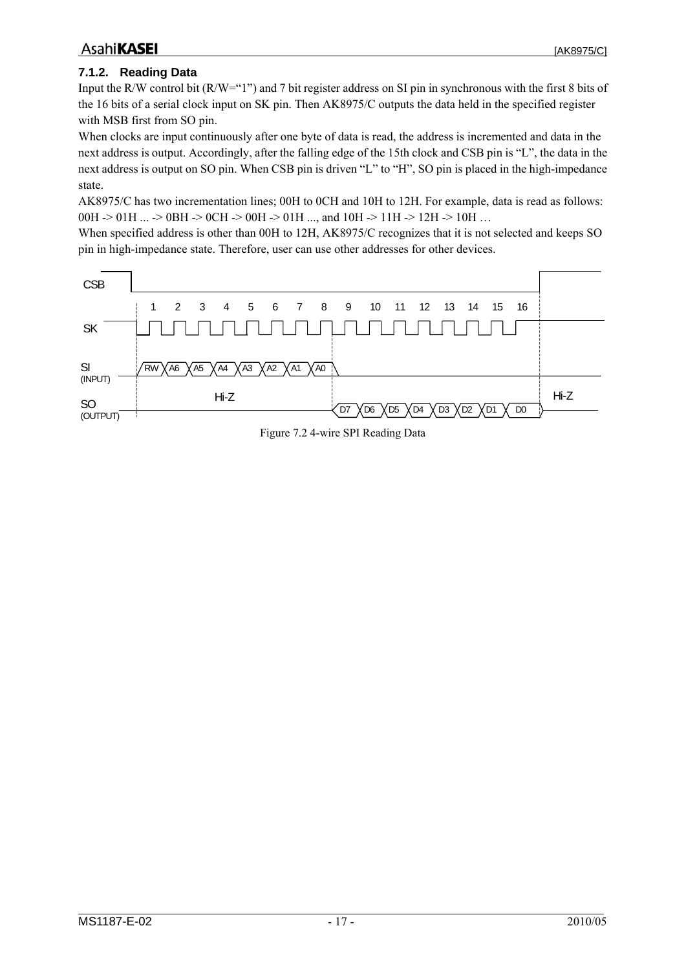#### <span id="page-16-0"></span>**7.1.2. Reading Data**

Input the R/W control bit (R/W="1") and 7 bit register address on SI pin in synchronous with the first 8 bits of the 16 bits of a serial clock input on SK pin. Then AK8975/C outputs the data held in the specified register with MSB first from SO pin.

When clocks are input continuously after one byte of data is read, the address is incremented and data in the next address is output. Accordingly, after the falling edge of the 15th clock and CSB pin is "L", the data in the next address is output on SO pin. When CSB pin is driven "L" to "H", SO pin is placed in the high-impedance state.

AK8975/C has two incrementation lines; 00H to 0CH and 10H to 12H. For example, data is read as follows: 00H -> 01H ... -> 0BH -> 0CH -> 00H -> 01H ..., and 10H -> 11H -> 12H -> 10H ...

When specified address is other than 00H to 12H, AK8975/C recognizes that it is not selected and keeps SO pin in high-impedance state. Therefore, user can use other addresses for other devices.



Figure 7.2 4-wire SPI Reading Data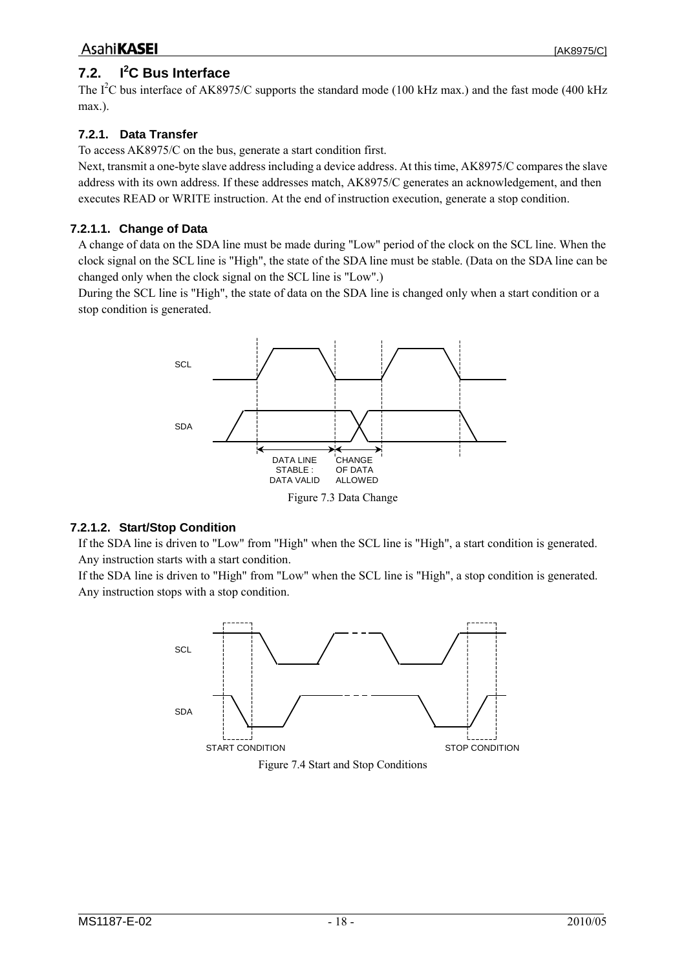#### <span id="page-17-0"></span>**7.2. I<sup>2</sup> C Bus Interface**

The  $I^2C$  bus interface of AK8975/C supports the standard mode (100 kHz max.) and the fast mode (400 kHz max.).

## **7.2.1. Data Transfer**

To access AK8975/C on the bus, generate a start condition first.

Next, transmit a one-byte slave address including a device address. At this time, AK8975/C compares the slave address with its own address. If these addresses match, AK8975/C generates an acknowledgement, and then executes READ or WRITE instruction. At the end of instruction execution, generate a stop condition.

## **7.2.1.1. Change of Data**

A change of data on the SDA line must be made during "Low" period of the clock on the SCL line. When the clock signal on the SCL line is "High", the state of the SDA line must be stable. (Data on the SDA line can be changed only when the clock signal on the SCL line is "Low".)

During the SCL line is "High", the state of data on the SDA line is changed only when a start condition or a stop condition is generated.



Figure 7.3 Data Change

### **7.2.1.2. Start/Stop Condition**

If the SDA line is driven to "Low" from "High" when the SCL line is "High", a start condition is generated. Any instruction starts with a start condition.

If the SDA line is driven to "High" from "Low" when the SCL line is "High", a stop condition is generated. Any instruction stops with a stop condition.



Figure 7.4 Start and Stop Conditions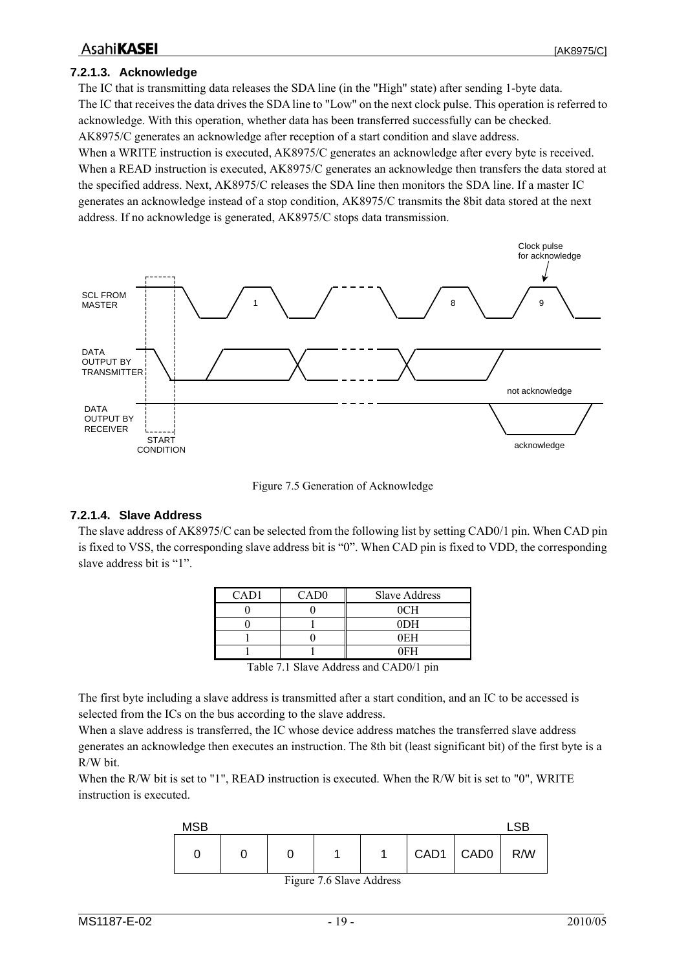### <span id="page-18-0"></span>**AsahiKASEI**

#### **7.2.1.3. Acknowledge**

The IC that is transmitting data releases the SDA line (in the "High" state) after sending 1-byte data. The IC that receives the data drives the SDA line to "Low" on the next clock pulse. This operation is referred to acknowledge. With this operation, whether data has been transferred successfully can be checked. AK8975/C generates an acknowledge after reception of a start condition and slave address. When a WRITE instruction is executed, AK8975/C generates an acknowledge after every byte is received. When a READ instruction is executed, AK8975/C generates an acknowledge then transfers the data stored at the specified address. Next, AK8975/C releases the SDA line then monitors the SDA line. If a master IC generates an acknowledge instead of a stop condition, AK8975/C transmits the 8bit data stored at the next address. If no acknowledge is generated, AK8975/C stops data transmission.



Figure 7.5 Generation of Acknowledge

#### **7.2.1.4. Slave Address**

The slave address of AK8975/C can be selected from the following list by setting CAD0/1 pin. When CAD pin is fixed to VSS, the corresponding slave address bit is "0". When CAD pin is fixed to VDD, the corresponding slave address bit is "1".

| CAD <sub>1</sub> | CAD <sub>0</sub> | <b>Slave Address</b> |
|------------------|------------------|----------------------|
|                  |                  | 0CH                  |
|                  |                  | 0 <sub>DH</sub>      |
|                  |                  | 0EH                  |
|                  |                  | 0EH                  |

Table 7.1 Slave Address and CAD0/1 pin

The first byte including a slave address is transmitted after a start condition, and an IC to be accessed is selected from the ICs on the bus according to the slave address.

When a slave address is transferred, the IC whose device address matches the transferred slave address generates an acknowledge then executes an instruction. The 8th bit (least significant bit) of the first byte is a R/W bit.

When the R/W bit is set to "1", READ instruction is executed. When the R/W bit is set to "0", WRITE instruction is executed.



Figure 7.6 Slave Address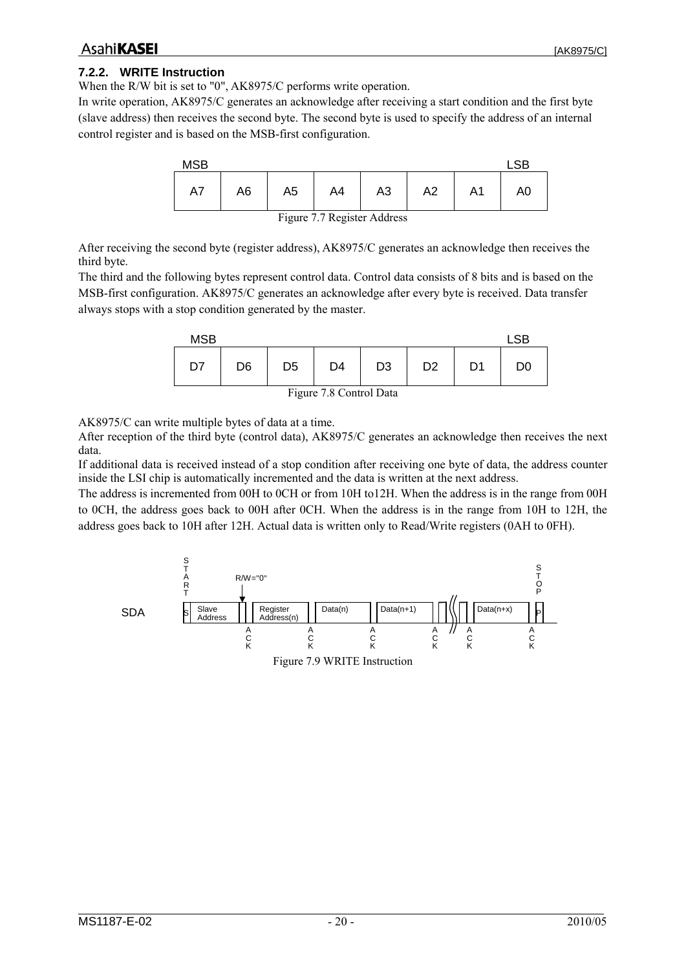#### <span id="page-19-0"></span>**7.2.2. WRITE Instruction**

When the R/W bit is set to "0", AK8975/C performs write operation.

In write operation, AK8975/C generates an acknowledge after receiving a start condition and the first byte (slave address) then receives the second byte. The second byte is used to specify the address of an internal control register and is based on the MSB-first configuration.



After receiving the second byte (register address), AK8975/C generates an acknowledge then receives the third byte.

The third and the following bytes represent control data. Control data consists of 8 bits and is based on the MSB-first configuration. AK8975/C generates an acknowledge after every byte is received. Data transfer always stops with a stop condition generated by the master.

| D7<br>D <sub>1</sub><br>D <sub>3</sub><br>D4<br>D <sub>6</sub><br>D <sub>2</sub><br>D <sub>5</sub><br>D <sub>0</sub> | <b>MSB</b> |  |  |  | S <sub>R</sub> |
|----------------------------------------------------------------------------------------------------------------------|------------|--|--|--|----------------|
|                                                                                                                      |            |  |  |  |                |

Figure 7.8 Control Data

AK8975/C can write multiple bytes of data at a time.

After reception of the third byte (control data), AK8975/C generates an acknowledge then receives the next data.

If additional data is received instead of a stop condition after receiving one byte of data, the address counter inside the LSI chip is automatically incremented and the data is written at the next address.

The address is incremented from 00H to 0CH or from 10H to12H. When the address is in the range from 00H to 0CH, the address goes back to 00H after 0CH. When the address is in the range from 10H to 12H, the address goes back to 10H after 12H. Actual data is written only to Read/Write registers (0AH to 0FH).

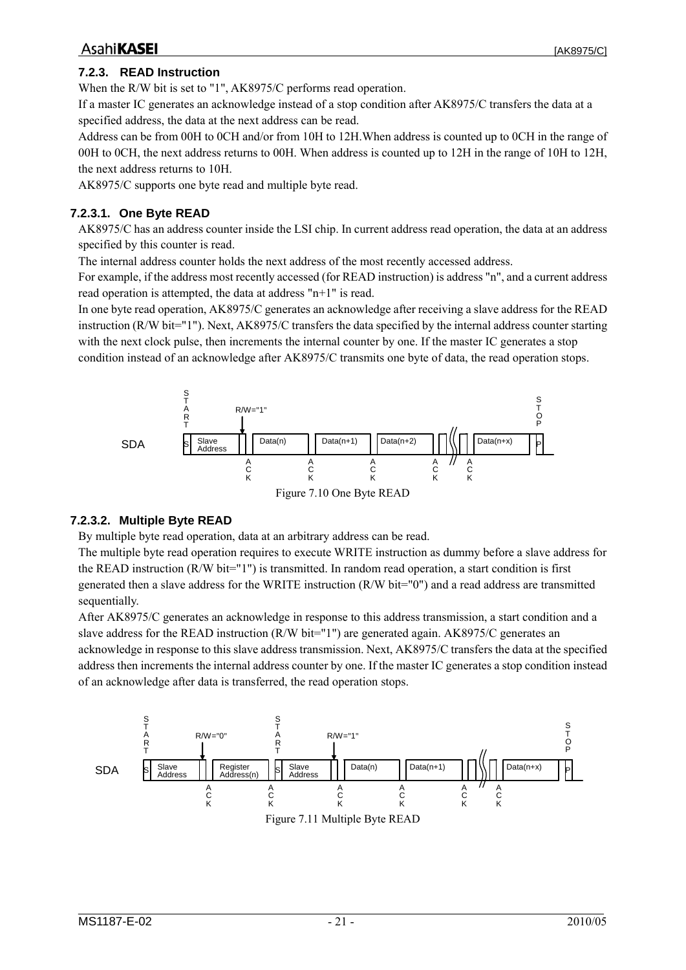## <span id="page-20-0"></span>**AsahiKASEI**

#### **7.2.3. READ Instruction**

When the R/W bit is set to "1", AK8975/C performs read operation.

If a master IC generates an acknowledge instead of a stop condition after AK8975/C transfers the data at a specified address, the data at the next address can be read.

Address can be from 00H to 0CH and/or from 10H to 12H.When address is counted up to 0CH in the range of 00H to 0CH, the next address returns to 00H. When address is counted up to 12H in the range of 10H to 12H, the next address returns to 10H.

AK8975/C supports one byte read and multiple byte read.

#### **7.2.3.1. One Byte READ**

AK8975/C has an address counter inside the LSI chip. In current address read operation, the data at an address specified by this counter is read.

The internal address counter holds the next address of the most recently accessed address.

For example, if the address most recently accessed (for READ instruction) is address "n", and a current address read operation is attempted, the data at address "n+1" is read.

In one byte read operation, AK8975/C generates an acknowledge after receiving a slave address for the READ instruction (R/W bit="1"). Next, AK8975/C transfers the data specified by the internal address counter starting with the next clock pulse, then increments the internal counter by one. If the master IC generates a stop condition instead of an acknowledge after AK8975/C transmits one byte of data, the read operation stops.



#### **7.2.3.2. Multiple Byte READ**

By multiple byte read operation, data at an arbitrary address can be read.

The multiple byte read operation requires to execute WRITE instruction as dummy before a slave address for the READ instruction (R/W bit="1") is transmitted. In random read operation, a start condition is first generated then a slave address for the WRITE instruction (R/W bit="0") and a read address are transmitted sequentially.

After AK8975/C generates an acknowledge in response to this address transmission, a start condition and a slave address for the READ instruction (R/W bit="1") are generated again. AK8975/C generates an acknowledge in response to this slave address transmission. Next, AK8975/C transfers the data at the specified address then increments the internal address counter by one. If the master IC generates a stop condition instead of an acknowledge after data is transferred, the read operation stops.

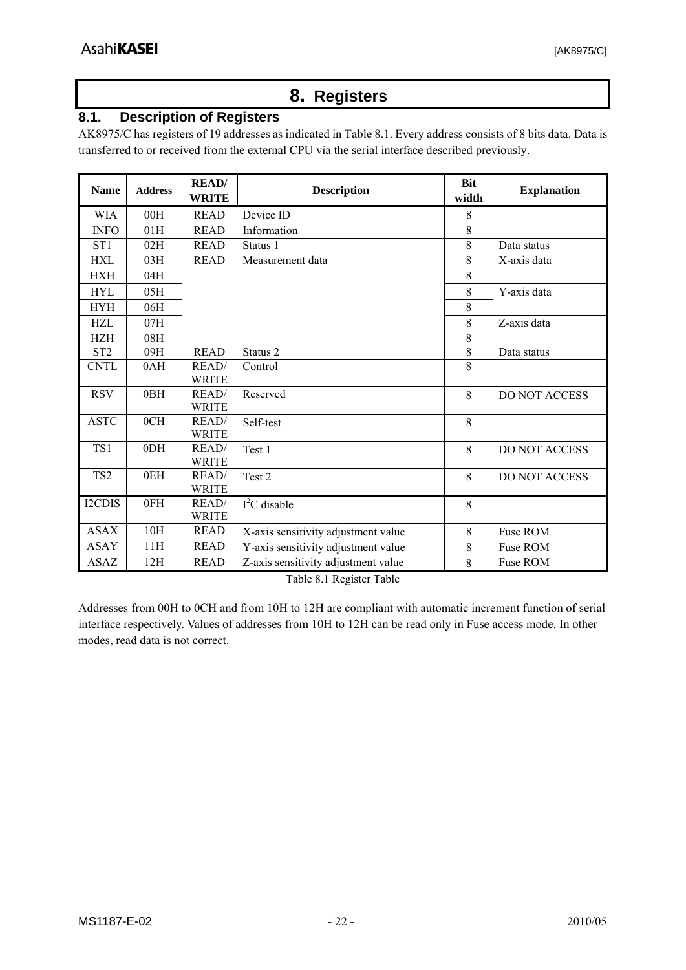## **8. Registers**

## <span id="page-21-0"></span>**8.1. Description of Registers**

AK8975/C has registers of 19 addresses as indicated in [Table 8.1](#page-21-1). Every address consists of 8 bits data. Data is transferred to or received from the external CPU via the serial interface described previously.

| <b>Name</b>     | <b>Address</b> | <b>READ</b><br><b>WRITE</b> | <b>Description</b>                  | <b>Bit</b><br>width | <b>Explanation</b>   |
|-----------------|----------------|-----------------------------|-------------------------------------|---------------------|----------------------|
| <b>WIA</b>      | 00H            | <b>READ</b>                 | Device ID                           | 8                   |                      |
| <b>INFO</b>     | 01H            | <b>READ</b>                 | Information                         | 8                   |                      |
| ST <sub>1</sub> | 02H            | <b>READ</b>                 | Status 1                            | 8                   | Data status          |
| <b>HXL</b>      | 03H            | <b>READ</b>                 | Measurement data                    | 8                   | X-axis data          |
| <b>HXH</b>      | 04H            |                             |                                     | 8                   |                      |
| <b>HYL</b>      | 05H            |                             |                                     | 8                   | Y-axis data          |
| <b>HYH</b>      | 06H            |                             |                                     | 8                   |                      |
| HZL             | 07H            |                             |                                     | 8                   | Z-axis data          |
| <b>HZH</b>      | 08H            |                             |                                     | 8                   |                      |
| ST <sub>2</sub> | 09H            | <b>READ</b>                 | Status 2                            | 8                   | Data status          |
| <b>CNTL</b>     | 0AH            | READ/                       | Control                             | 8                   |                      |
|                 |                | <b>WRITE</b>                |                                     |                     |                      |
| <b>RSV</b>      | 0BH            | READ/                       | Reserved                            | 8                   | <b>DO NOT ACCESS</b> |
|                 |                | <b>WRITE</b>                |                                     |                     |                      |
| <b>ASTC</b>     | 0CH            | READ/                       | Self-test                           | 8                   |                      |
|                 |                | <b>WRITE</b>                |                                     |                     |                      |
| TS1             | 0DH            | READ/                       | Test 1                              | 8                   | <b>DO NOT ACCESS</b> |
|                 |                | <b>WRITE</b>                |                                     |                     |                      |
| TS <sub>2</sub> | 0EH            | READ/                       | Test <sub>2</sub>                   | 8                   | <b>DO NOT ACCESS</b> |
|                 |                | <b>WRITE</b>                |                                     |                     |                      |
| I2CDIS          | 0FH            | READ/                       | $I2C$ disable                       | 8                   |                      |
|                 |                | <b>WRITE</b>                |                                     |                     |                      |
| <b>ASAX</b>     | 10H            | <b>READ</b>                 | X-axis sensitivity adjustment value | 8                   | Fuse ROM             |
| <b>ASAY</b>     | 11H            | <b>READ</b>                 | Y-axis sensitivity adjustment value | 8                   | Fuse ROM             |
| <b>ASAZ</b>     | 12H            | <b>READ</b>                 | Z-axis sensitivity adjustment value | 8                   | Fuse ROM             |

Table 8.1 Register Table

<span id="page-21-1"></span>Addresses from 00H to 0CH and from 10H to 12H are compliant with automatic increment function of serial interface respectively. Values of addresses from 10H to 12H can be read only in Fuse access mode. In other modes, read data is not correct.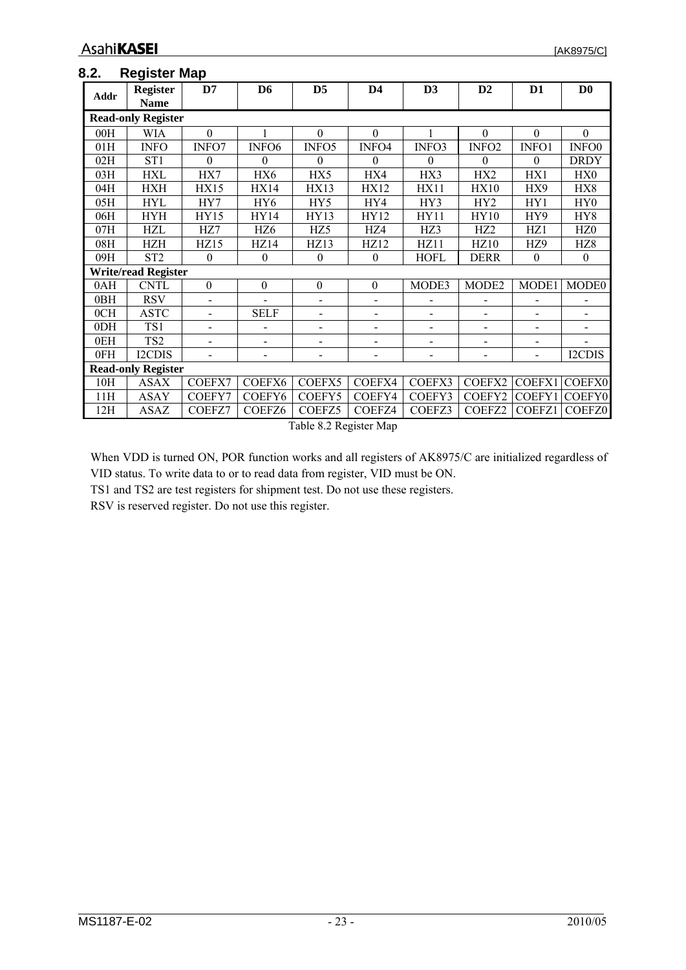#### <span id="page-22-0"></span>**8.2. Register Map**

| Addr                      | Register<br><b>Name</b>    | D7               | D <sub>6</sub>    | D <sub>5</sub>   | $\mathbf{D4}$            | D <sub>3</sub>           | D2                       | D <sub>1</sub>   | $\mathbf{D}\mathbf{0}$ |
|---------------------------|----------------------------|------------------|-------------------|------------------|--------------------------|--------------------------|--------------------------|------------------|------------------------|
|                           | <b>Read-only Register</b>  |                  |                   |                  |                          |                          |                          |                  |                        |
| 00H                       | <b>WIA</b>                 | $\Omega$         |                   | $\theta$         | $\theta$                 |                          | $\Omega$                 | $\Omega$         | $\mathbf{0}$           |
| 01H                       | <b>INFO</b>                | INFO7            | INFO <sub>6</sub> | INFO5            | INFO4                    | INFO3                    | INFO <sub>2</sub>        | INFO1            | INFO0                  |
| 02H                       | ST <sub>1</sub>            | $\theta$         | $\theta$          | $\theta$         | $\theta$                 | 0                        | $\Omega$                 | $\boldsymbol{0}$ | <b>DRDY</b>            |
| 03H                       | HXL                        | HX7              | HX6               | HX5              | HX4                      | HX3                      | HX2                      | HX1              | HX0                    |
| 04H                       | HXH                        | <b>HX15</b>      | <b>HX14</b>       | <b>HX13</b>      | <b>HX12</b>              | <b>HX11</b>              | <b>HX10</b>              | HX9              | HX8                    |
| 05H                       | HYL                        | HY7              | HY <sub>6</sub>   | HY <sub>5</sub>  | HY4                      | HY3                      | HY2                      | HY1              | HY <sub>0</sub>        |
| 06H                       | <b>HYH</b>                 | <b>HY15</b>      | HY14              | <b>HY13</b>      | HY12                     | <b>HY11</b>              | <b>HY10</b>              | HY9              | HY8                    |
| 07H                       | HZL                        | HZ7              | HZ6               | HZ <sub>5</sub>  | HZ4                      | HZ3                      | HZ2                      | HZ <sub>1</sub>  | HZ <sub>0</sub>        |
| 08H                       | HZH                        | HZ15             | HZ14              | <b>HZ13</b>      | <b>HZ12</b>              | HZ11                     | <b>HZ10</b>              | HZ9              | HZ <sub>8</sub>        |
| 09H                       | ST <sub>2</sub>            | $\mathbf{0}$     | $\theta$          | $\mathbf{0}$     | $\mathbf{0}$             | <b>HOFL</b>              | DERR                     | $\mathbf{0}$     | $\mathbf{0}$           |
|                           | <b>Write/read Register</b> |                  |                   |                  |                          |                          |                          |                  |                        |
| 0AH                       | <b>CNTL</b>                | $\boldsymbol{0}$ | $\boldsymbol{0}$  | $\boldsymbol{0}$ | $\boldsymbol{0}$         | MODE3                    | MODE2                    | MODE1            | MODE <sub>0</sub>      |
| 0BH                       | <b>RSV</b>                 |                  |                   |                  | $\blacksquare$           |                          |                          |                  |                        |
| 0CH                       | <b>ASTC</b>                | $\blacksquare$   | <b>SELF</b>       |                  | $\overline{\phantom{a}}$ |                          | $\overline{a}$           | $\overline{a}$   |                        |
| 0DH                       | TS1                        |                  |                   |                  | $\overline{\phantom{0}}$ | $\overline{\phantom{0}}$ |                          | $\blacksquare$   |                        |
| 0EH                       | TS <sub>2</sub>            |                  |                   |                  | $\overline{a}$           |                          |                          |                  |                        |
| 0FH                       | <b>I2CDIS</b>              |                  |                   |                  | $\overline{\phantom{0}}$ | $\overline{\phantom{0}}$ | $\overline{\phantom{0}}$ | $\blacksquare$   | I2CDIS                 |
| <b>Read-only Register</b> |                            |                  |                   |                  |                          |                          |                          |                  |                        |
| 10H                       | <b>ASAX</b>                | COEFX7           | COEFX6            | COEFX5           | COEFX4                   | COEFX3                   | COEFX2                   | COEFX1           | <b>COEFX0</b>          |
| 11H                       | <b>ASAY</b>                | COEFY7           | COEFY6            | COEFY5           | COEFY4                   | COEFY3                   | COEFY2                   | COEFY1           | <b>COEFY0</b>          |
| 12H                       | <b>ASAZ</b>                | COEFZ7           | COEFZ6            | COEFZ5           | COEFZ4                   | COEFZ3                   | COEFZ2                   | COEFZ1           | <b>COEFZ0</b>          |

Table 8.2 Register Map

When VDD is turned ON, POR function works and all registers of AK8975/C are initialized regardless of VID status. To write data to or to read data from register, VID must be ON.

TS1 and TS2 are test registers for shipment test. Do not use these registers.

RSV is reserved register. Do not use this register.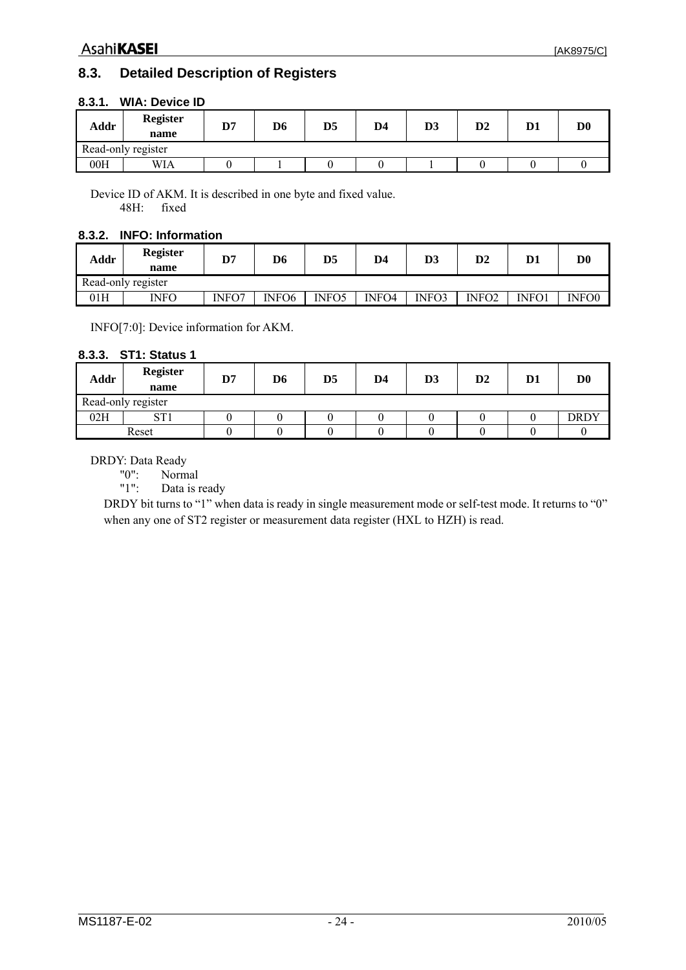## <span id="page-23-0"></span>**8.3. Detailed Description of Registers**

| Addr               | <b>Register</b><br>name | D7 | D <sub>6</sub> | D5 | D4 | D3 | $\mathbf{D2}$ | D <sub>1</sub> | $\mathbf{D} \mathbf{0}$ |
|--------------------|-------------------------|----|----------------|----|----|----|---------------|----------------|-------------------------|
| Read-only register |                         |    |                |    |    |    |               |                |                         |
| 00H                | WIA                     |    |                |    |    |    |               |                |                         |

#### **8.3.1. WIA: Device ID**

Device ID of AKM. It is described in one byte and fixed value. 48H: fixed

#### **8.3.2. INFO: Information**

| Addr               | <b>Register</b><br>name | D7    | D6                | D5           | D4    | D3    | $\mathbf{D2}$     | D1    | $\mathbf{D} \mathbf{0}$ |
|--------------------|-------------------------|-------|-------------------|--------------|-------|-------|-------------------|-------|-------------------------|
| Read-only register |                         |       |                   |              |       |       |                   |       |                         |
| 01H                | INFO                    | INFO7 | INFO <sub>6</sub> | <b>INFO5</b> | INFO4 | INFO3 | INFO <sub>2</sub> | INFO1 | INFO0                   |

INFO[7:0]: Device information for AKM.

#### **8.3.3. ST1: Status 1**

| Addr | <b>Register</b><br>name | D7 | D6 | D5 | D4 | D <sub>3</sub> | $\mathbf{D2}$ | D <sub>1</sub> | $\mathbf{D}\mathbf{0}$ |
|------|-------------------------|----|----|----|----|----------------|---------------|----------------|------------------------|
|      | Read-only register      |    |    |    |    |                |               |                |                        |
| 02H  | CT1                     |    |    |    |    |                |               |                | <b>DRDY</b>            |
|      | Reset                   |    |    |    |    |                |               |                |                        |

## DRDY: Data Ready<br>"0": Norm

"0": Normal<br>"1": Data is 1

Data is ready

DRDY bit turns to "1" when data is ready in single measurement mode or self-test mode. It returns to "0" when any one of ST2 register or measurement data register (HXL to HZH) is read.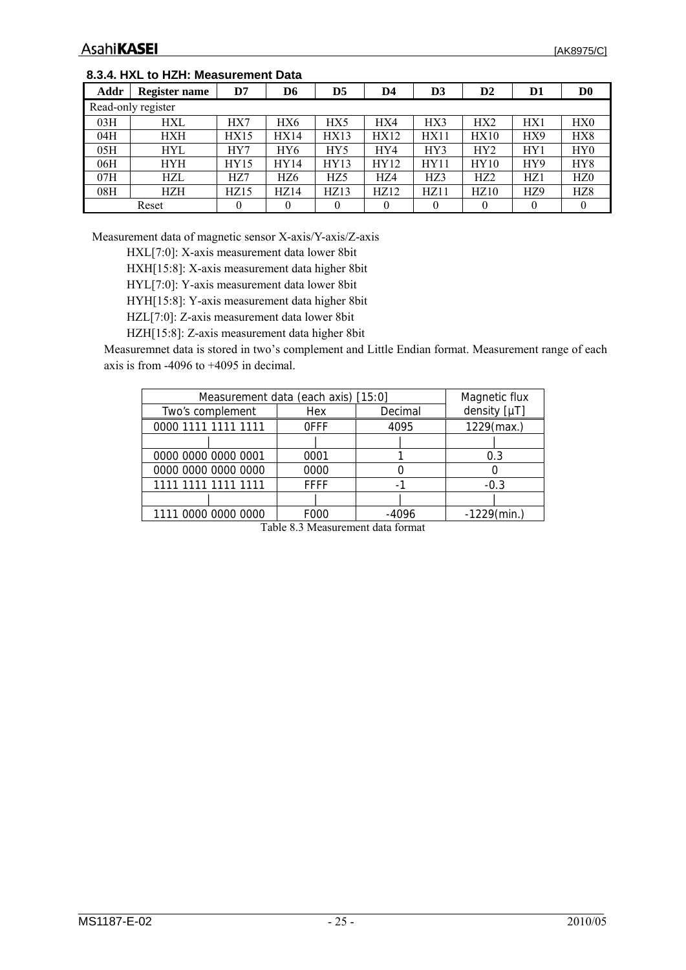#### <span id="page-24-0"></span>**8.3.4. HXL to HZH: Measurement Data**

| Addr | Register name      | D7   | D6       | D5   | D4   | D3          | D <sub>2</sub>  | D1  | D0              |
|------|--------------------|------|----------|------|------|-------------|-----------------|-----|-----------------|
|      | Read-only register |      |          |      |      |             |                 |     |                 |
| 03H  | <b>HXL</b>         | HX7  | HX6      | HX5  | HX4  | HX3         | HX <sub>2</sub> | HX1 | HX0             |
| 04H  | HXH                | HX15 | HX14     | HX13 | HX12 | HX11        | HX10            | HX9 | HX8             |
| 05H  | <b>HYL</b>         | HY7  | HY6      | HY5  | HY4  | HY3         | HY <sub>2</sub> | HY1 | HY <sub>0</sub> |
| 06H  | HYH                | HY15 | HY14     | HY13 | HY12 | <b>HY11</b> | HY10            | HY9 | HY8             |
| 07H  | <b>HZL</b>         | HZ7  | HZ6      | HZ5  | HZ4  | HZ3         | HZ <sub>2</sub> | HZ1 | HZ <sub>0</sub> |
| 08H  | HZH                | HZ15 | HZ14     | HZ13 | HZ12 | HZ11        | HZ10            | HZ9 | HZ <sub>8</sub> |
|      | Reset              | 0    | $\theta$ | 0    |      | $\theta$    |                 | 0   |                 |

Measurement data of magnetic sensor X-axis/Y-axis/Z-axis

HXL[7:0]: X-axis measurement data lower 8bit

HXH[15:8]: X-axis measurement data higher 8bit

HYL[7:0]: Y-axis measurement data lower 8bit

HYH[15:8]: Y-axis measurement data higher 8bit

HZL[7:0]: Z-axis measurement data lower 8bit

HZH[15:8]: Z-axis measurement data higher 8bit

Measuremnet data is stored in two's complement and Little Endian format. Measurement range of each axis is from -4096 to +4095 in decimal.

| Measurement data (each axis) [15:0] | Magnetic flux |         |                |
|-------------------------------------|---------------|---------|----------------|
| Two's complement                    | Hex           | Decimal | density [µT]   |
| 0000 1111 1111 1111                 | <b>OFFF</b>   | 4095    | 1229(max.)     |
|                                     |               |         |                |
| 0000 0000 0000 0001                 | 0001          |         | 0.3            |
| 0000 0000 0000 0000                 | 0000          |         |                |
| 1111 1111 1111 1111                 | <b>FFFF</b>   |         | $-0.3$         |
|                                     |               |         |                |
| 1111 0000 0000 0000                 | F000          | -4096   | $-1229$ (min.) |

Table 8.3 Measurement data format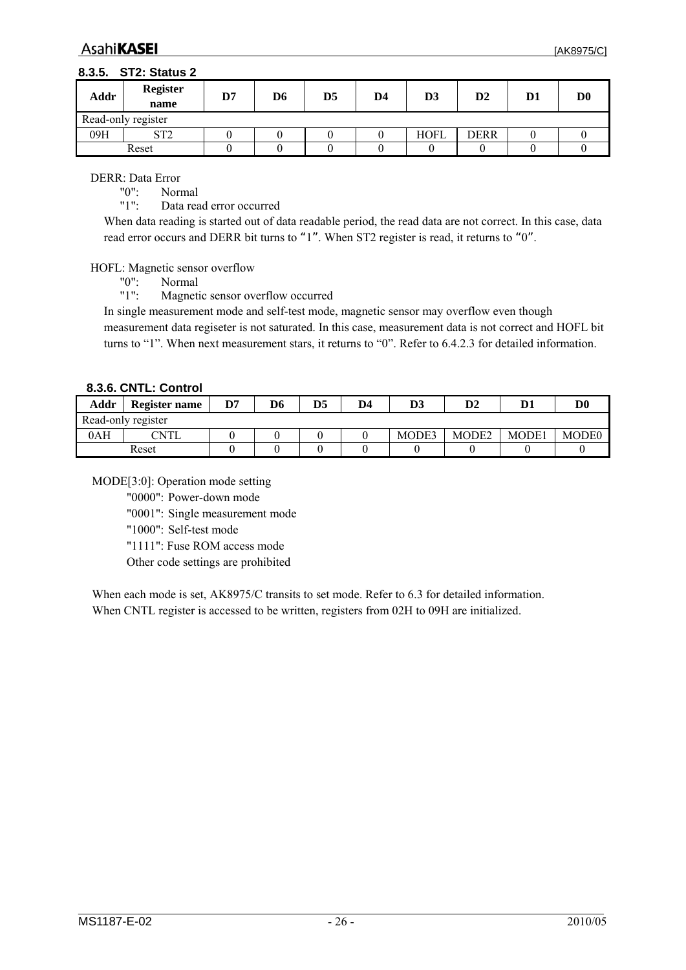#### <span id="page-25-0"></span>**8.3.5. ST2: Status 2**

| Addr | <b>Register</b><br>name | D7 | D6 | D5 | D4 | D <sub>3</sub> | $\mathbf{D2}$ | $\mathbf{D}1$ | D <sub>0</sub> |
|------|-------------------------|----|----|----|----|----------------|---------------|---------------|----------------|
|      | Read-only register      |    |    |    |    |                |               |               |                |
| 09H  | ST2<br>∠⊥ ت             |    |    |    |    | HOFL           | <b>DERR</b>   |               |                |
|      | Reset                   |    |    |    |    |                |               |               |                |

DERR: Data Error

"0": Normal<br>"1": Data rea

Data read error occurred

When data reading is started out of data readable period, the read data are not correct. In this case, data read error occurs and DERR bit turns to "1". When ST2 register is read, it returns to "0".

HOFL: Magnetic sensor overflow

"0": Normal

"1": Magnetic sensor overflow occurred

In single measurement mode and self-test mode, magnetic sensor may overflow even though measurement data regiseter is not saturated. In this case, measurement data is not correct and HOFL bit turns to "1". When next measurement stars, it returns to "0". Refer to [6.4.2.3](#page-13-1) for detailed information.

#### **8.3.6. CNTL: Control**

| Addr | Register name      | D7 | D6 | D5 | D <sub>4</sub> | D3    | D2                | D <sub>1</sub> | D <sub>0</sub>    |
|------|--------------------|----|----|----|----------------|-------|-------------------|----------------|-------------------|
|      | Read-only register |    |    |    |                |       |                   |                |                   |
| 0AH  | 7NTL               |    |    |    |                | MODE3 | MODE <sub>2</sub> | <b>MODE1</b>   | MODE <sub>0</sub> |
|      | Reset              |    |    |    |                |       |                   |                |                   |

MODE[3:0]: Operation mode setting

"0000": Power-down mode

"0001": Single measurement mode

"1000": Self-test mode

"1111": Fuse ROM access mode

Other code settings are prohibited

When each mode is set, AK8975/C transits to set mode. Refer to [6.3](#page-11-1) for detailed information. When CNTL register is accessed to be written, registers from 02H to 09H are initialized.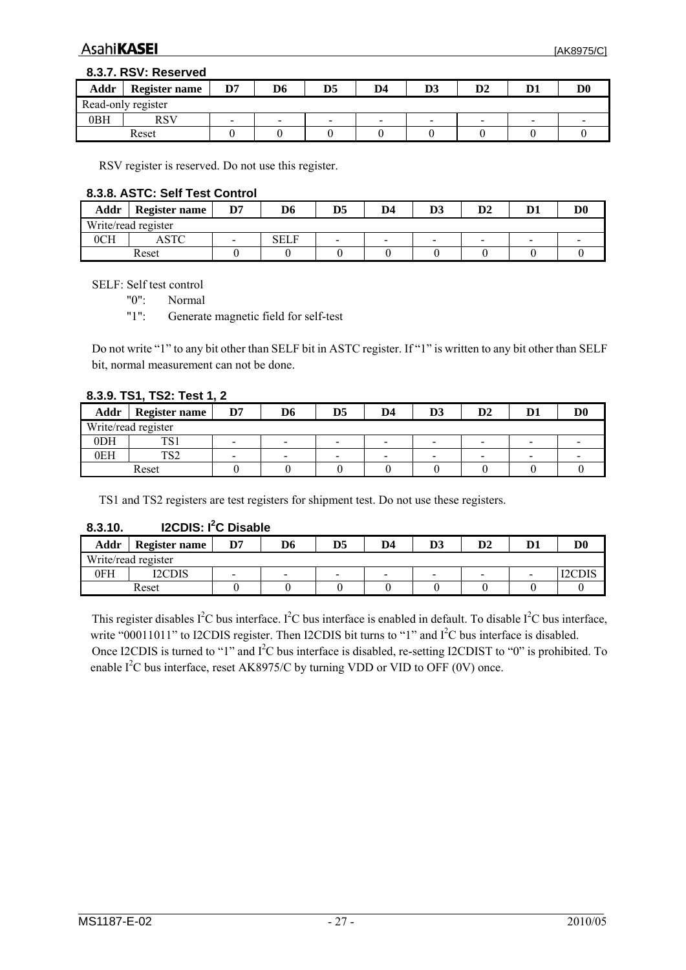#### <span id="page-26-0"></span>**8.3.7. RSV: Reserved**

| Addr | <b>Register name</b> | D7                       | D6             | D5                       | D <sub>4</sub>  | D <sub>3</sub>           | D <sub>2</sub> | D <sub>1</sub> | $\mathbf{D} \mathbf{0}$ |
|------|----------------------|--------------------------|----------------|--------------------------|-----------------|--------------------------|----------------|----------------|-------------------------|
|      | Read-only register   |                          |                |                          |                 |                          |                |                |                         |
| 0BH  | RSV                  | $\overline{\phantom{0}}$ | $\blacksquare$ | $\overline{\phantom{0}}$ | $\qquad \qquad$ | $\overline{\phantom{0}}$ | $\,$           | $\,$           |                         |
|      | Reset                |                          |                |                          |                 |                          |                |                |                         |

RSV register is reserved. Do not use this register.

#### **8.3.8. ASTC: Self Test Control**

| Addr | <b>Register name</b> | D7                       | D6   | D5             | D4                       | D <sub>3</sub>           | $\mathbf{D2}$            | D <sub>1</sub>  | $\mathbf{D} \mathbf{0}$ |
|------|----------------------|--------------------------|------|----------------|--------------------------|--------------------------|--------------------------|-----------------|-------------------------|
|      | Write/read register  |                          |      |                |                          |                          |                          |                 |                         |
| 0CH  | CTC                  | $\overline{\phantom{a}}$ | SELF | $\blacksquare$ | $\overline{\phantom{0}}$ | $\overline{\phantom{0}}$ | $\overline{\phantom{a}}$ | $\qquad \qquad$ |                         |
|      | Reset                |                          |      |                |                          |                          |                          |                 |                         |

SELF: Self test control

"0": Normal

"1": Generate magnetic field for self-test

Do not write "1" to any bit other than SELF bit in ASTC register. If "1" is written to any bit other than SELF bit, normal measurement can not be done.

#### **8.3.9. TS1, TS2: Test 1, 2**

| Addr | <b>Register name</b> | D7 | D6 | D5                       | D4                       | D3                       | D2                       | D1                       | $\mathbf{D}\mathbf{0}$ |
|------|----------------------|----|----|--------------------------|--------------------------|--------------------------|--------------------------|--------------------------|------------------------|
|      | Write/read register  |    |    |                          |                          |                          |                          |                          |                        |
| 0DH  | ፐሮ ፡<br>∃ت ⊥         | -  | -  | $\overline{\phantom{0}}$ | $\overline{\phantom{0}}$ | $\overline{\phantom{a}}$ | -                        | $\overline{\phantom{a}}$ |                        |
| 0EH  | ፐሮጎ<br>ے جب          |    | ۰  | $\overline{\phantom{a}}$ | -                        | $\blacksquare$           | $\overline{\phantom{0}}$ |                          |                        |
|      | Reset                |    |    |                          |                          |                          |                          |                          |                        |

TS1 and TS2 registers are test registers for shipment test. Do not use these registers.

#### **8.3.10. I2CDIS: I2 C Disable**

| Addr | <b>Register name</b> | D7 | D6 | D <sub>5</sub>           | D <sub>4</sub>           | D.<br>IJJ      | D <sub>2</sub> | n. | D0 |
|------|----------------------|----|----|--------------------------|--------------------------|----------------|----------------|----|----|
|      | Write/read register  |    |    |                          |                          |                |                |    |    |
| 0FH  | I2CDIS               | -  | -  | $\overline{\phantom{a}}$ | $\overline{\phantom{0}}$ | $\blacksquare$ | $\sim$         | -  |    |
|      | Reset                |    |    |                          |                          |                |                |    |    |

This register disables  $I^2C$  bus interface. I<sup>2</sup>C bus interface is enabled in default. To disable I<sup>2</sup>C bus interface, write "00011011" to I2CDIS register. Then I2CDIS bit turns to "1" and  $I<sup>2</sup>C$  bus interface is disabled. Once I2CDIS is turned to "1" and I<sup>2</sup>C bus interface is disabled, re-setting I2CDIST to "0" is prohibited. To enable  $I^2C$  bus interface, reset AK8975/C by turning VDD or VID to OFF (0V) once.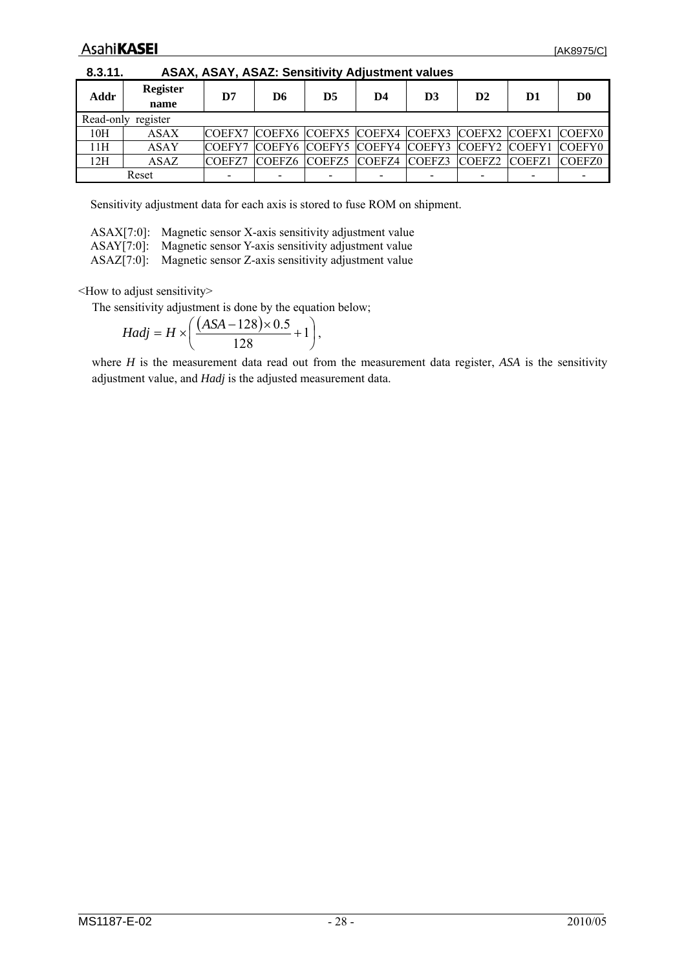<span id="page-27-1"></span><span id="page-27-0"></span>

| 8.3.11. |                         | ASAX, ASAY, ASAZ: Sensitivity Adjustment values |    |    |    |                                                  |    |    |                |
|---------|-------------------------|-------------------------------------------------|----|----|----|--------------------------------------------------|----|----|----------------|
| Addr    | <b>Register</b><br>name | D7                                              | D6 | D5 | D4 | D <sub>3</sub>                                   | D2 | D1 | D <sub>0</sub> |
|         | Read-only register      |                                                 |    |    |    |                                                  |    |    |                |
| 10H     | <b>ASAX</b>             | <b>COEFX7</b>                                   |    |    |    | COEFX6 COEFX5 COEFX4 COEFX3 COEFX2 COEFX1 COEFX0 |    |    |                |
| 11H     | <b>ASAY</b>             | <b>COEFY7</b>                                   |    |    |    | COEFY6 COEFY5 COEFY4 COEFY3 COEFY2 COEFY1 COEFY0 |    |    |                |
| 12H     | <b>ASAZ</b>             | COEFZ7                                          |    |    |    | COEFZ6 COEFZ5 COEFZ4 COEFZ3 COEFZ2 COEFZ1 COEFZ0 |    |    |                |
|         | Reset                   |                                                 |    |    |    |                                                  |    |    |                |

**8.3.11. ASAX, ASAY, ASAZ: Sensitivity Adjustment values** 

Sensitivity adjustment data for each axis is stored to fuse ROM on shipment.

| ASAX[7:0]: Magnetic sensor X-axis sensitivity adjustment value |
|----------------------------------------------------------------|
| $\mathbf{A} \cap \mathbf{A}$                                   |

ASAY[7:0]: Magnetic sensor Y-axis sensitivity adjustment value

ASAZ[7:0]: Magnetic sensor Z-axis sensitivity adjustment value

<How to adjust sensitivity>

The sensitivity adjustment is done by the equation below;

$$
Hadj = H \times \left(\frac{(ASA - 128) \times 0.5}{128} + 1\right),
$$

where *H* is the measurement data read out from the measurement data register, *ASA* is the sensitivity adjustment value, and *Hadj* is the adjusted measurement data.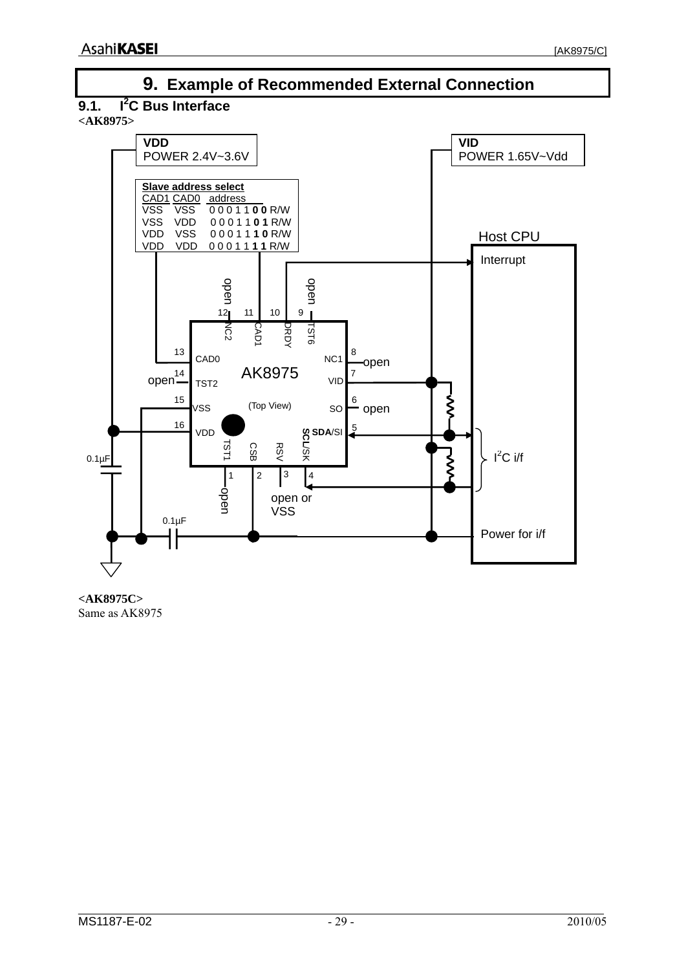<span id="page-28-0"></span>

**<AK8975C>**  Same as AK8975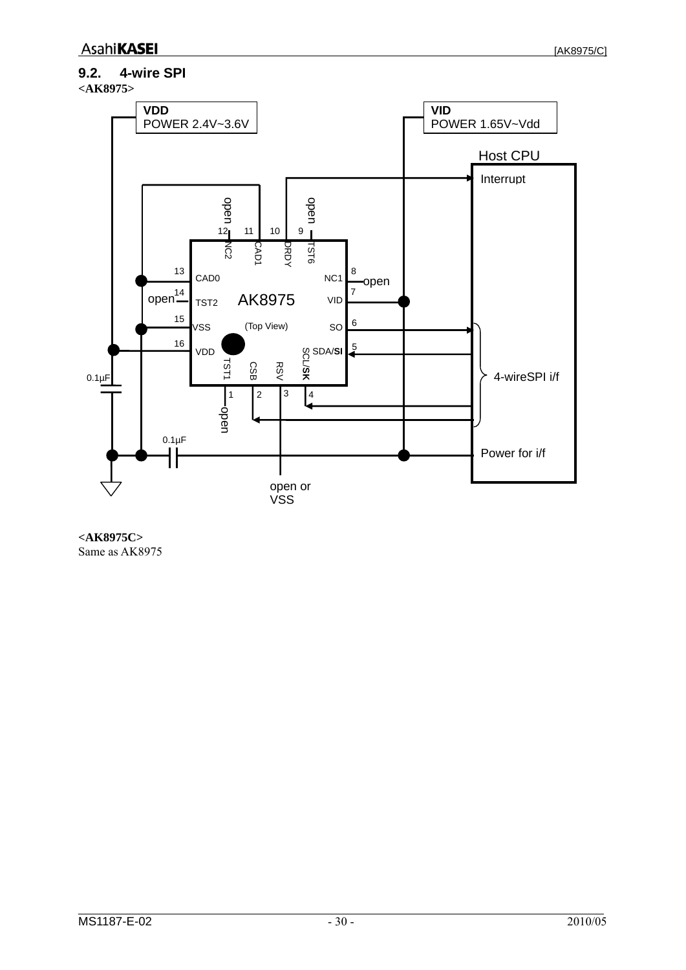## <span id="page-29-0"></span>**9.2. 4-wire SPI**





**<AK8975C>**  Same as AK8975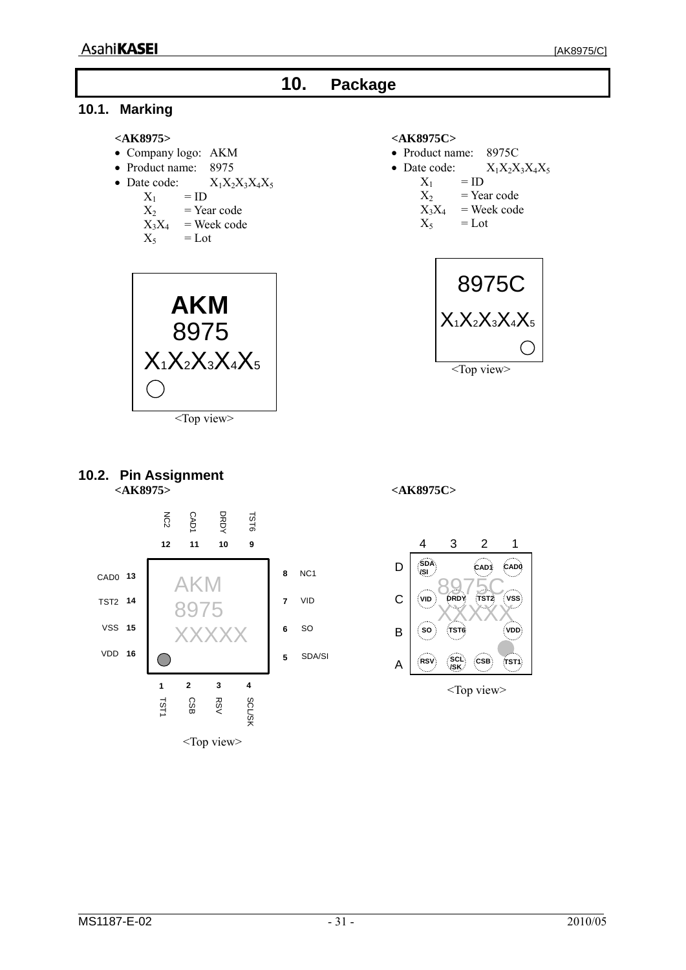<span id="page-30-0"></span>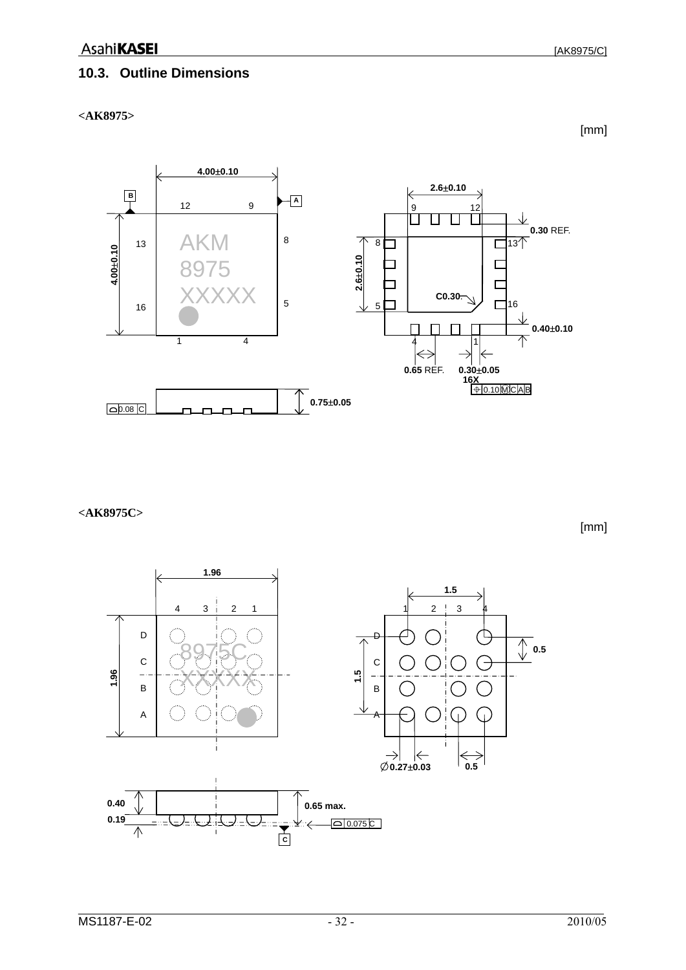## <span id="page-31-0"></span>**10.3. Outline Dimensions**

**<AK8975>** 

[mm]



**<AK8975C>** 

[mm]

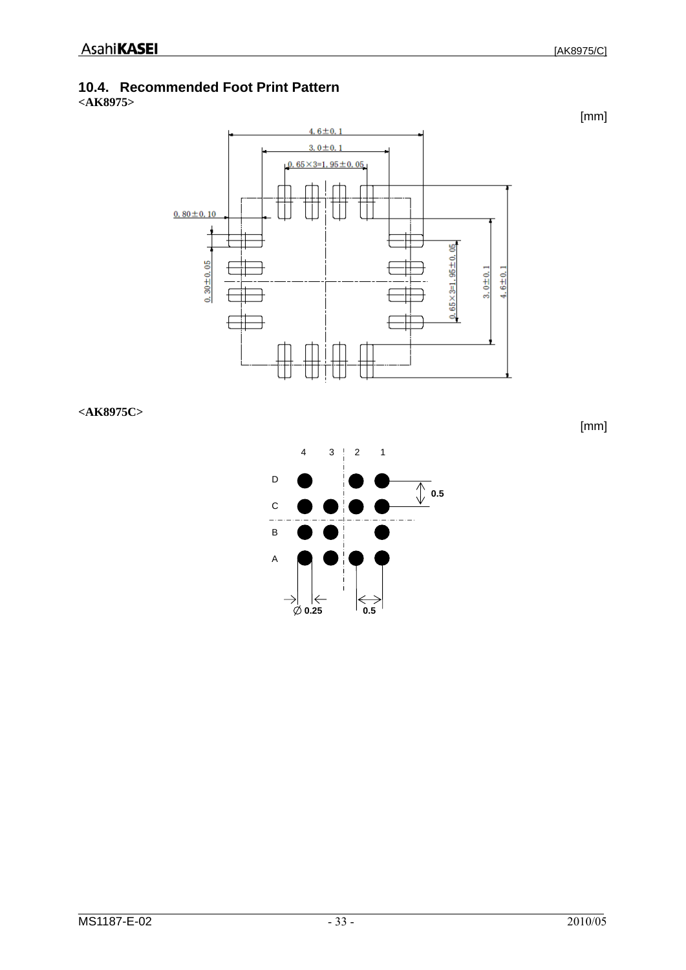## <span id="page-32-0"></span>**10.4. Recommended Foot Print Pattern**

**<AK8975>** 



**<AK8975C>** 

4 3 2 1 D  $\sqrt{\phantom{a}}$  0.5 C  $\equiv$ B A  $\phi$  0.25 **0.5**

[AK8975/C]

[mm]

[mm]